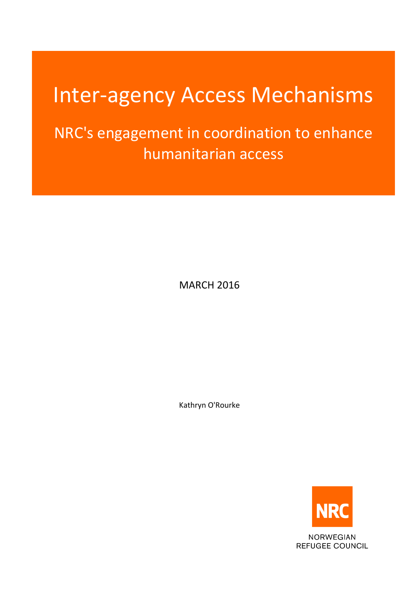# Inter-agency Access Mechanisms

NRC's engagement in coordination to enhance humanitarian access

MARCH 2016

Kathryn O'Rourke



**NORWEGIAN REFUGEE COUNCIL**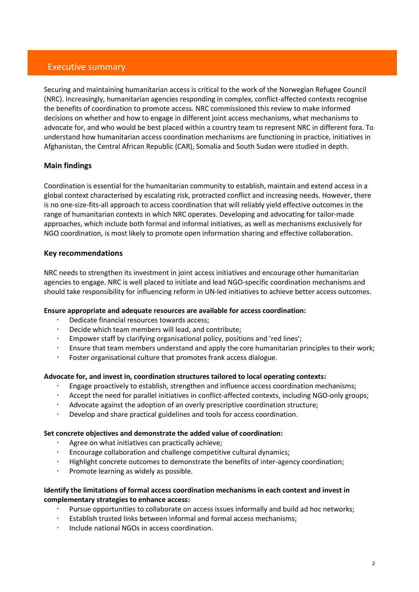## Executive summary

Securing and maintaining humanitarian access is critical to the work of the Norwegian Refugee Council (NRC). Increasingly, humanitarian agencies responding in complex, conflict-affected contexts recognise the benefits of coordination to promote access. NRC commissioned this review to make informed decisions on whether and how to engage in different joint access mechanisms, what mechanisms to advocate for, and who would be best placed within a country team to represent NRC in different fora. To understand how humanitarian access coordination mechanisms are functioning in practice, initiatives in Afghanistan, the Central African Republic (CAR), Somalia and South Sudan were studied in depth.

## **Main findings**

Coordination is essential for the humanitarian community to establish, maintain and extend access in a global context characterised by escalating risk, protracted conflict and increasing needs. However, there is no one-size-fits-all approach to access coordination that will reliably yield effective outcomes in the range of humanitarian contexts in which NRC operates. Developing and advocating for tailor-made approaches, which include both formal and informal initiatives, as well as mechanisms exclusively for NGO coordination, is most likely to promote open information sharing and effective collaboration.

## **Key recommendations**

NRC needs to strengthen its investment in joint access initiatives and encourage other humanitarian agencies to engage. NRC is well placed to initiate and lead NGO-specific coordination mechanisms and should take responsibility for influencing reform in UN-led initiatives to achieve better access outcomes.

#### **Ensure appropriate and adequate resources are available for access coordination:**

- Dedicate financial resources towards access;
- Decide which team members will lead, and contribute;
- Empower staff by clarifying organisational policy, positions and 'red lines';
- Ensure that team members understand and apply the core humanitarian principles to their work;
- Foster organisational culture that promotes frank access dialogue.

#### **Advocate for, and invest in, coordination structures tailored to local operating contexts:**

- Engage proactively to establish, strengthen and influence access coordination mechanisms;
- Accept the need for parallel initiatives in conflict-affected contexts, including NGO-only groups;
- Advocate against the adoption of an overly prescriptive coordination structure;
- Develop and share practical guidelines and tools for access coordination.

#### **Set concrete objectives and demonstrate the added value of coordination:**

- Agree on what initiatives can practically achieve;
- Encourage collaboration and challenge competitive cultural dynamics;
- Highlight concrete outcomes to demonstrate the benefits of inter-agency coordination;
- $\cdot$  Promote learning as widely as possible.

#### **Identify the limitations of formal access coordination mechanisms in each context and invest in complementary strategies to enhance access:**

- Pursue opportunities to collaborate on access issues informally and build ad hoc networks;
- Establish trusted links between informal and formal access mechanisms;
- Include national NGOs in access coordination.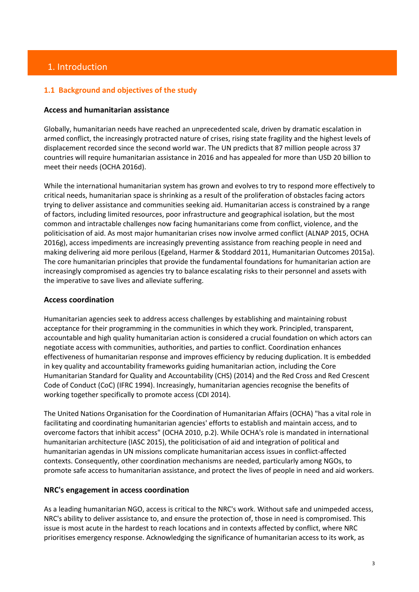# 1. Introduction

## **1.1 Background and objectives of the study**

#### **Access and humanitarian assistance**

Globally, humanitarian needs have reached an unprecedented scale, driven by dramatic escalation in armed conflict, the increasingly protracted nature of crises, rising state fragility and the highest levels of displacement recorded since the second world war. The UN predicts that 87 million people across 37 countries will require humanitarian assistance in 2016 and has appealed for more than USD 20 billion to meet their needs (OCHA 2016d).

While the international humanitarian system has grown and evolves to try to respond more effectively to critical needs, humanitarian space is shrinking as a result of the proliferation of obstacles facing actors trying to deliver assistance and communities seeking aid. Humanitarian access is constrained by a range of factors, including limited resources, poor infrastructure and geographical isolation, but the most common and intractable challenges now facing humanitarians come from conflict, violence, and the politicisation of aid. As most major humanitarian crises now involve armed conflict (ALNAP 2015, OCHA 2016g), access impediments are increasingly preventing assistance from reaching people in need and making delivering aid more perilous (Egeland, Harmer & Stoddard 2011, Humanitarian Outcomes 2015a). The core humanitarian principles that provide the fundamental foundations for humanitarian action are increasingly compromised as agencies try to balance escalating risks to their personnel and assets with the imperative to save lives and alleviate suffering.

#### **Access coordination**

Humanitarian agencies seek to address access challenges by establishing and maintaining robust acceptance for their programming in the communities in which they work. Principled, transparent, accountable and high quality humanitarian action is considered a crucial foundation on which actors can negotiate access with communities, authorities, and parties to conflict. Coordination enhances effectiveness of humanitarian response and improves efficiency by reducing duplication. It is embedded in key quality and accountability frameworks guiding humanitarian action, including the Core Humanitarian Standard for Quality and Accountability (CHS) (2014) and the Red Cross and Red Crescent Code of Conduct (CoC) (IFRC 1994). Increasingly, humanitarian agencies recognise the benefits of working together specifically to promote access (CDI 2014).

The United Nations Organisation for the Coordination of Humanitarian Affairs (OCHA) "has a vital role in facilitating and coordinating humanitarian agencies' efforts to establish and maintain access, and to overcome factors that inhibit access" (OCHA 2010, p.2). While OCHA's role is mandated in international humanitarian architecture (IASC 2015), the politicisation of aid and integration of political and humanitarian agendas in UN missions complicate humanitarian access issues in conflict-affected contexts. Consequently, other coordination mechanisms are needed, particularly among NGOs, to promote safe access to humanitarian assistance, and protect the lives of people in need and aid workers.

#### **NRC's engagement in access coordination**

As a leading humanitarian NGO, access is critical to the NRC's work. Without safe and unimpeded access, NRC's ability to deliver assistance to, and ensure the protection of, those in need is compromised. This issue is most acute in the hardest to reach locations and in contexts affected by conflict, where NRC prioritises emergency response. Acknowledging the significance of humanitarian access to its work, as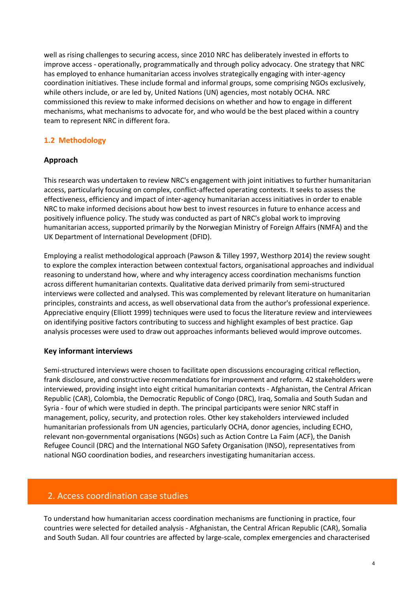well as rising challenges to securing access, since 2010 NRC has deliberately invested in efforts to improve access - operationally, programmatically and through policy advocacy. One strategy that NRC has employed to enhance humanitarian access involves strategically engaging with inter-agency coordination initiatives. These include formal and informal groups, some comprising NGOs exclusively, while others include, or are led by, United Nations (UN) agencies, most notably OCHA. NRC commissioned this review to make informed decisions on whether and how to engage in different mechanisms, what mechanisms to advocate for, and who would be the best placed within a country team to represent NRC in different fora.

# **1.2 Methodology**

## **Approach**

This research was undertaken to review NRC's engagement with joint initiatives to further humanitarian access, particularly focusing on complex, conflict-affected operating contexts. It seeks to assess the effectiveness, efficiency and impact of inter-agency humanitarian access initiatives in order to enable NRC to make informed decisions about how best to invest resources in future to enhance access and positively influence policy. The study was conducted as part of NRC's global work to improving humanitarian access, supported primarily by the Norwegian Ministry of Foreign Affairs (NMFA) and the UK Department of International Development (DFID).

Employing a realist methodological approach (Pawson & Tilley 1997, Westhorp 2014) the review sought to explore the complex interaction between contextual factors, organisational approaches and individual reasoning to understand how, where and why interagency access coordination mechanisms function across different humanitarian contexts. Qualitative data derived primarily from semi-structured interviews were collected and analysed. This was complemented by relevant literature on humanitarian principles, constraints and access, as well observational data from the author's professional experience. Appreciative enquiry (Elliott 1999) techniques were used to focus the literature review and interviewees on identifying positive factors contributing to success and highlight examples of best practice. Gap analysis processes were used to draw out approaches informants believed would improve outcomes.

## **Key informant interviews**

Semi-structured interviews were chosen to facilitate open discussions encouraging critical reflection, frank disclosure, and constructive recommendations for improvement and reform. 42 stakeholders were interviewed, providing insight into eight critical humanitarian contexts - Afghanistan, the Central African Republic (CAR), Colombia, the Democratic Republic of Congo (DRC), Iraq, Somalia and South Sudan and Syria - four of which were studied in depth. The principal participants were senior NRC staff in management, policy, security, and protection roles. Other key stakeholders interviewed included humanitarian professionals from UN agencies, particularly OCHA, donor agencies, including ECHO, relevant non-governmental organisations (NGOs) such as Action Contre La Faim (ACF), the Danish Refugee Council (DRC) and the International NGO Safety Organisation (INSO), representatives from national NGO coordination bodies, and researchers investigating humanitarian access.

# 2. Access coordination case studies

To understand how humanitarian access coordination mechanisms are functioning in practice, four countries were selected for detailed analysis - Afghanistan, the Central African Republic (CAR), Somalia and South Sudan. All four countries are affected by large-scale, complex emergencies and characterised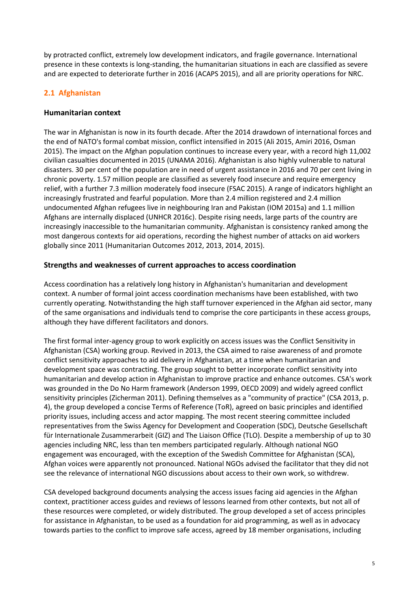by protracted conflict, extremely low development indicators, and fragile governance. International presence in these contexts is long-standing, the humanitarian situations in each are classified as severe and are expected to deteriorate further in 2016 (ACAPS 2015), and all are priority operations for NRC.

# **2.1 Afghanistan**

## **Humanitarian context**

The war in Afghanistan is now in its fourth decade. After the 2014 drawdown of international forces and the end of NATO's formal combat mission, conflict intensified in 2015 (Ali 2015, Amiri 2016, Osman 2015). The impact on the Afghan population continues to increase every year, with a record high 11,002 civilian casualties documented in 2015 (UNAMA 2016). Afghanistan is also highly vulnerable to natural disasters. 30 per cent of the population are in need of urgent assistance in 2016 and 70 per cent living in chronic poverty. 1.57 million people are classified as severely food insecure and require emergency relief, with a further 7.3 million moderately food insecure (FSAC 2015). A range of indicators highlight an increasingly frustrated and fearful population. More than 2.4 million registered and 2.4 million undocumented Afghan refugees live in neighbouring Iran and Pakistan (IOM 2015a) and 1.1 million Afghans are internally displaced (UNHCR 2016c). Despite rising needs, large parts of the country are increasingly inaccessible to the humanitarian community. Afghanistan is consistency ranked among the most dangerous contexts for aid operations, recording the highest number of attacks on aid workers globally since 2011 (Humanitarian Outcomes 2012, 2013, 2014, 2015).

## **Strengths and weaknesses of current approaches to access coordination**

Access coordination has a relatively long history in Afghanistan's humanitarian and development context. A number of formal joint access coordination mechanisms have been established, with two currently operating. Notwithstanding the high staff turnover experienced in the Afghan aid sector, many of the same organisations and individuals tend to comprise the core participants in these access groups, although they have different facilitators and donors.

The first formal inter-agency group to work explicitly on access issues was the Conflict Sensitivity in Afghanistan (CSA) working group. Revived in 2013, the CSA aimed to raise awareness of and promote conflict sensitivity approaches to aid delivery in Afghanistan, at a time when humanitarian and development space was contracting. The group sought to better incorporate conflict sensitivity into humanitarian and develop action in Afghanistan to improve practice and enhance outcomes. CSA's work was grounded in the Do No Harm framework (Anderson 1999, OECD 2009) and widely agreed conflict sensitivity principles (Zicherman 2011). Defining themselves as a "community of practice" (CSA 2013, p. 4), the group developed a concise Terms of Reference (ToR), agreed on basic principles and identified priority issues, including access and actor mapping. The most recent steering committee included representatives from the Swiss Agency for Development and Cooperation (SDC), Deutsche Gesellschaft für Internationale Zusammerarbeit (GIZ) and The Liaison Office (TLO). Despite a membership of up to 30 agencies including NRC, less than ten members participated regularly. Although national NGO engagement was encouraged, with the exception of the Swedish Committee for Afghanistan (SCA), Afghan voices were apparently not pronounced. National NGOs advised the facilitator that they did not see the relevance of international NGO discussions about access to their own work, so withdrew.

CSA developed background documents analysing the access issues facing aid agencies in the Afghan context, practitioner access guides and reviews of lessons learned from other contexts, but not all of these resources were completed, or widely distributed. The group developed a set of access principles for assistance in Afghanistan, to be used as a foundation for aid programming, as well as in advocacy towards parties to the conflict to improve safe access, agreed by 18 member organisations, including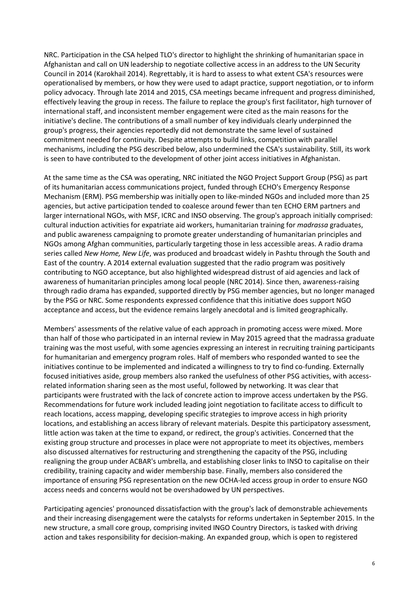NRC. Participation in the CSA helped TLO's director to highlight the shrinking of humanitarian space in Afghanistan and call on UN leadership to negotiate collective access in an address to the UN Security Council in 2014 (Karokhail 2014). Regrettably, it is hard to assess to what extent CSA's resources were operationalised by members, or how they were used to adapt practice, support negotiation, or to inform policy advocacy. Through late 2014 and 2015, CSA meetings became infrequent and progress diminished, effectively leaving the group in recess. The failure to replace the group's first facilitator, high turnover of international staff, and inconsistent member engagement were cited as the main reasons for the initiative's decline. The contributions of a small number of key individuals clearly underpinned the group's progress, their agencies reportedly did not demonstrate the same level of sustained commitment needed for continuity. Despite attempts to build links, competition with parallel mechanisms, including the PSG described below, also undermined the CSA's sustainability. Still, its work is seen to have contributed to the development of other joint access initiatives in Afghanistan.

At the same time as the CSA was operating, NRC initiated the NGO Project Support Group (PSG) as part of its humanitarian access communications project, funded through ECHO's Emergency Response Mechanism (ERM). PSG membership was initially open to like-minded NGOs and included more than 25 agencies, but active participation tended to coalesce around fewer than ten ECHO ERM partners and larger international NGOs, with MSF, ICRC and INSO observing. The group's approach initially comprised: cultural induction activities for expatriate aid workers, humanitarian training for *madrassa* graduates, and public awareness campaigning to promote greater understanding of humanitarian principles and NGOs among Afghan communities, particularly targeting those in less accessible areas. A radio drama series called *New Home, New Life*, was produced and broadcast widely in Pashtu through the South and East of the country. A 2014 external evaluation suggested that the radio program was positively contributing to NGO acceptance, but also highlighted widespread distrust of aid agencies and lack of awareness of humanitarian principles among local people (NRC 2014). Since then, awareness-raising through radio drama has expanded, supported directly by PSG member agencies, but no longer managed by the PSG or NRC. Some respondents expressed confidence that this initiative does support NGO acceptance and access, but the evidence remains largely anecdotal and is limited geographically.

Members' assessments of the relative value of each approach in promoting access were mixed. More than half of those who participated in an internal review in May 2015 agreed that the madrassa graduate training was the most useful, with some agencies expressing an interest in recruiting training participants for humanitarian and emergency program roles. Half of members who responded wanted to see the initiatives continue to be implemented and indicated a willingness to try to find co-funding. Externally focused initiatives aside, group members also ranked the usefulness of other PSG activities, with accessrelated information sharing seen as the most useful, followed by networking. It was clear that participants were frustrated with the lack of concrete action to improve access undertaken by the PSG. Recommendations for future work included leading joint negotiation to facilitate access to difficult to reach locations, access mapping, developing specific strategies to improve access in high priority locations, and establishing an access library of relevant materials. Despite this participatory assessment, little action was taken at the time to expand, or redirect, the group's activities. Concerned that the existing group structure and processes in place were not appropriate to meet its objectives, members also discussed alternatives for restructuring and strengthening the capacity of the PSG, including realigning the group under ACBAR's umbrella, and establishing closer links to INSO to capitalise on their credibility, training capacity and wider membership base. Finally, members also considered the importance of ensuring PSG representation on the new OCHA-led access group in order to ensure NGO access needs and concerns would not be overshadowed by UN perspectives.

Participating agencies' pronounced dissatisfaction with the group's lack of demonstrable achievements and their increasing disengagement were the catalysts for reforms undertaken in September 2015. In the new structure, a small core group, comprising invited INGO Country Directors, is tasked with driving action and takes responsibility for decision-making. An expanded group, which is open to registered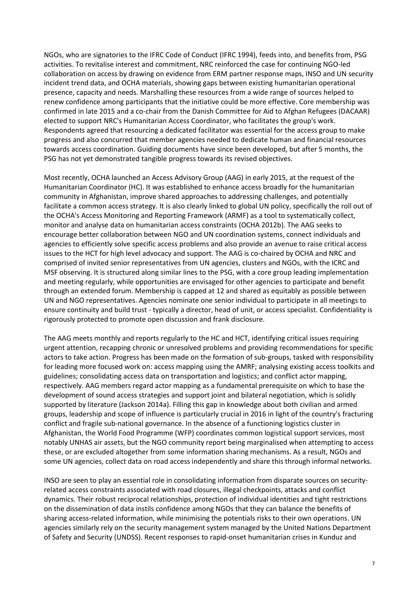NGOs, who are signatories to the IFRC Code of Conduct (IFRC 1994), feeds into, and benefits from, PSG activities. To revitalise interest and commitment, NRC reinforced the case for continuing NGO-led collaboration on access by drawing on evidence from ERM partner response maps, INSO and UN security incident trend data, and OCHA materials, showing gaps between existing humanitarian operational presence, capacity and needs. Marshalling these resources from a wide range of sources helped to renew confidence among participants that the initiative could be more effective. Core membership was confirmed in late 2015 and a co-chair from the Danish Committee for Aid to Afghan Refugees (DACAAR) elected to support NRC's Humanitarian Access Coordinator, who facilitates the group's work. Respondents agreed that resourcing a dedicated facilitator was essential for the access group to make progress and also concurred that member agencies needed to dedicate human and financial resources towards access coordination. Guiding documents have since been developed, but after 5 months, the PSG has not yet demonstrated tangible progress towards its revised objectives.

Most recently, OCHA launched an Access Advisory Group (AAG) in early 2015, at the request of the Humanitarian Coordinator (HC). It was established to enhance access broadly for the humanitarian community in Afghanistan, improve shared approaches to addressing challenges, and potentially facilitate a common access strategy. It is also clearly linked to global UN policy, specifically the roll out of the OCHA's Access Monitoring and Reporting Framework (ARMF) as a tool to systematically collect, monitor and analyse data on humanitarian access constraints (OCHA 2012b). The AAG seeks to encourage better collaboration between NGO and UN coordination systems, connect individuals and agencies to efficiently solve specific access problems and also provide an avenue to raise critical access issues to the HCT for high level advocacy and support. The AAG is co-chaired by OCHA and NRC and comprised of invited senior representatives from UN agencies, clusters and NGOs, with the ICRC and MSF observing. It is structured along similar lines to the PSG, with a core group leading implementation and meeting regularly, while opportunities are envisaged for other agencies to participate and benefit through an extended forum. Membership is capped at 12 and shared as equitably as possible between UN and NGO representatives. Agencies nominate one senior individual to participate in all meetings to ensure continuity and build trust - typically a director, head of unit, or access specialist. Confidentiality is rigorously protected to promote open discussion and frank disclosure.

The AAG meets monthly and reports regularly to the HC and HCT, identifying critical issues requiring urgent attention, recapping chronic or unresolved problems and providing recommendations for specific actors to take action. Progress has been made on the formation of sub-groups, tasked with responsibility for leading more focused work on: access mapping using the AMRF; analysing existing access toolkits and guidelines; consolidating access data on transportation and logistics; and conflict actor mapping, respectively. AAG members regard actor mapping as a fundamental prerequisite on which to base the development of sound access strategies and support joint and bilateral negotiation, which is solidly supported by literature (Jackson 2014a). Filling this gap in knowledge about both civilian and armed groups, leadership and scope of influence is particularly crucial in 2016 in light of the country's fracturing conflict and fragile sub-national governance. In the absence of a functioning logistics cluster in Afghanistan, the World Food Programme (WFP) coordinates common logistical support services, most notably UNHAS air assets, but the NGO community report being marginalised when attempting to access these, or are excluded altogether from some information sharing mechanisms. As a result, NGOs and some UN agencies, collect data on road access independently and share this through informal networks.

INSO are seen to play an essential role in consolidating information from disparate sources on securityrelated access constraints associated with road closures, illegal checkpoints, attacks and conflict dynamics. Their robust reciprocal relationships, protection of individual identities and tight restrictions on the dissemination of data instils confidence among NGOs that they can balance the benefits of sharing access-related information, while minimising the potentials risks to their own operations. UN agencies similarly rely on the security management system managed by the United Nations Department of Safety and Security (UNDSS). Recent responses to rapid-onset humanitarian crises in Kunduz and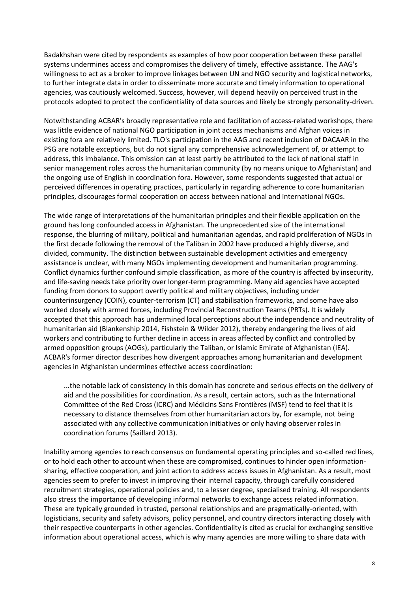Badakhshan were cited by respondents as examples of how poor cooperation between these parallel systems undermines access and compromises the delivery of timely, effective assistance. The AAG's willingness to act as a broker to improve linkages between UN and NGO security and logistical networks, to further integrate data in order to disseminate more accurate and timely information to operational agencies, was cautiously welcomed. Success, however, will depend heavily on perceived trust in the protocols adopted to protect the confidentiality of data sources and likely be strongly personality-driven.

Notwithstanding ACBAR's broadly representative role and facilitation of access-related workshops, there was little evidence of national NGO participation in joint access mechanisms and Afghan voices in existing fora are relatively limited. TLO's participation in the AAG and recent inclusion of DACAAR in the PSG are notable exceptions, but do not signal any comprehensive acknowledgement of, or attempt to address, this imbalance. This omission can at least partly be attributed to the lack of national staff in senior management roles across the humanitarian community (by no means unique to Afghanistan) and the ongoing use of English in coordination fora. However, some respondents suggested that actual or perceived differences in operating practices, particularly in regarding adherence to core humanitarian principles, discourages formal cooperation on access between national and international NGOs.

The wide range of interpretations of the humanitarian principles and their flexible application on the ground has long confounded access in Afghanistan. The unprecedented size of the international response, the blurring of military, political and humanitarian agendas, and rapid proliferation of NGOs in the first decade following the removal of the Taliban in 2002 have produced a highly diverse, and divided, community. The distinction between sustainable development activities and emergency assistance is unclear, with many NGOs implementing development and humanitarian programming. Conflict dynamics further confound simple classification, as more of the country is affected by insecurity, and life-saving needs take priority over longer-term programming. Many aid agencies have accepted funding from donors to support overtly political and military objectives, including under counterinsurgency (COIN), counter-terrorism (CT) and stabilisation frameworks, and some have also worked closely with armed forces, including Provincial Reconstruction Teams (PRTs). It is widely accepted that this approach has undermined local perceptions about the independence and neutrality of humanitarian aid (Blankenship 2014, Fishstein & Wilder 2012), thereby endangering the lives of aid workers and contributing to further decline in access in areas affected by conflict and controlled by armed opposition groups (AOGs), particularly the Taliban, or Islamic Emirate of Afghanistan (IEA). ACBAR's former director describes how divergent approaches among humanitarian and development agencies in Afghanistan undermines effective access coordination:

...the notable lack of consistency in this domain has concrete and serious effects on the delivery of aid and the possibilities for coordination. As a result, certain actors, such as the International Committee of the Red Cross (ICRC) and Médicins Sans Frontières (MSF) tend to feel that it is necessary to distance themselves from other humanitarian actors by, for example, not being associated with any collective communication initiatives or only having observer roles in coordination forums (Saillard 2013).

Inability among agencies to reach consensus on fundamental operating principles and so-called red lines, or to hold each other to account when these are compromised, continues to hinder open informationsharing, effective cooperation, and joint action to address access issues in Afghanistan. As a result, most agencies seem to prefer to invest in improving their internal capacity, through carefully considered recruitment strategies, operational policies and, to a lesser degree, specialised training. All respondents also stress the importance of developing informal networks to exchange access related information. These are typically grounded in trusted, personal relationships and are pragmatically-oriented, with logisticians, security and safety advisors, policy personnel, and country directors interacting closely with their respective counterparts in other agencies. Confidentiality is cited as crucial for exchanging sensitive information about operational access, which is why many agencies are more willing to share data with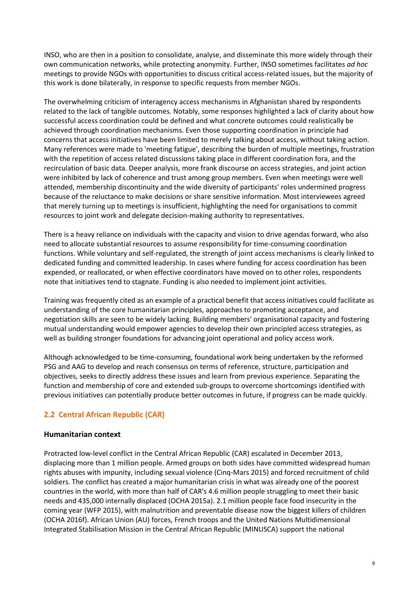INSO, who are then in a position to consolidate, analyse, and disseminate this more widely through their own communication networks, while protecting anonymity. Further, INSO sometimes facilitates *ad hoc* meetings to provide NGOs with opportunities to discuss critical access-related issues, but the majority of this work is done bilaterally, in response to specific requests from member NGOs.

The overwhelming criticism of interagency access mechanisms in Afghanistan shared by respondents related to the lack of tangible outcomes. Notably, some responses highlighted a lack of clarity about how successful access coordination could be defined and what concrete outcomes could realistically be achieved through coordination mechanisms. Even those supporting coordination in principle had concerns that access initiatives have been limited to merely talking about access, without taking action. Many references were made to 'meeting fatigue', describing the burden of multiple meetings, frustration with the repetition of access related discussions taking place in different coordination fora, and the recirculation of basic data. Deeper analysis, more frank discourse on access strategies, and joint action were inhibited by lack of coherence and trust among group members. Even when meetings were well attended, membership discontinuity and the wide diversity of participants' roles undermined progress because of the reluctance to make decisions or share sensitive information. Most interviewees agreed that merely turning up to meetings is insufficient, highlighting the need for organisations to commit resources to joint work and delegate decision-making authority to representatives.

There is a heavy reliance on individuals with the capacity and vision to drive agendas forward, who also need to allocate substantial resources to assume responsibility for time-consuming coordination functions. While voluntary and self-regulated, the strength of joint access mechanisms is clearly linked to dedicated funding and committed leadership. In cases where funding for access coordination has been expended, or reallocated, or when effective coordinators have moved on to other roles, respondents note that initiatives tend to stagnate. Funding is also needed to implement joint activities.

Training was frequently cited as an example of a practical benefit that access initiatives could facilitate as understanding of the core humanitarian principles, approaches to promoting acceptance, and negotiation skills are seen to be widely lacking. Building members' organisational capacity and fostering mutual understanding would empower agencies to develop their own principled access strategies, as well as building stronger foundations for advancing joint operational and policy access work.

Although acknowledged to be time-consuming, foundational work being undertaken by the reformed PSG and AAG to develop and reach consensus on terms of reference, structure, participation and objectives, seeks to directly address these issues and learn from previous experience. Separating the function and membership of core and extended sub-groups to overcome shortcomings identified with previous initiatives can potentially produce better outcomes in future, if progress can be made quickly.

# **2.2 Central African Republic (CAR)**

## **Humanitarian context**

Protracted low-level conflict in the Central African Republic (CAR) escalated in December 2013, displacing more than 1 million people. Armed groups on both sides have committed widespread human rights abuses with impunity, including sexual violence (Cinq-Mars 2015) and forced recruitment of child soldiers. The conflict has created a major humanitarian crisis in what was already one of the poorest countries in the world, with more than half of CAR's 4.6 million people struggling to meet their basic needs and 435,000 internally displaced (OCHA 2015a). 2.1 million people face food insecurity in the coming year (WFP 2015), with malnutrition and preventable disease now the biggest killers of children (OCHA 2016f). African Union (AU) forces, French troops and the United Nations Multidimensional Integrated Stabilisation Mission in the Central African Republic (MINUSCA) support the national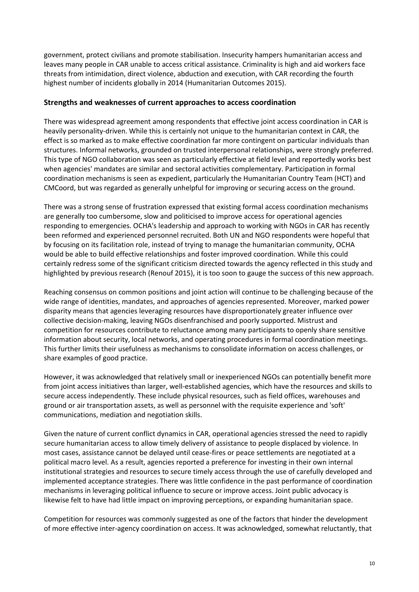government, protect civilians and promote stabilisation. Insecurity hampers humanitarian access and leaves many people in CAR unable to access critical assistance. Criminality is high and aid workers face threats from intimidation, direct violence, abduction and execution, with CAR recording the fourth highest number of incidents globally in 2014 (Humanitarian Outcomes 2015).

#### **Strengths and weaknesses of current approaches to access coordination**

There was widespread agreement among respondents that effective joint access coordination in CAR is heavily personality-driven. While this is certainly not unique to the humanitarian context in CAR, the effect is so marked as to make effective coordination far more contingent on particular individuals than structures. Informal networks, grounded on trusted interpersonal relationships, were strongly preferred. This type of NGO collaboration was seen as particularly effective at field level and reportedly works best when agencies' mandates are similar and sectoral activities complementary. Participation in formal coordination mechanisms is seen as expedient, particularly the Humanitarian Country Team (HCT) and CMCoord, but was regarded as generally unhelpful for improving or securing access on the ground.

There was a strong sense of frustration expressed that existing formal access coordination mechanisms are generally too cumbersome, slow and politicised to improve access for operational agencies responding to emergencies. OCHA's leadership and approach to working with NGOs in CAR has recently been reformed and experienced personnel recruited. Both UN and NGO respondents were hopeful that by focusing on its facilitation role, instead of trying to manage the humanitarian community, OCHA would be able to build effective relationships and foster improved coordination. While this could certainly redress some of the significant criticism directed towards the agency reflected in this study and highlighted by previous research (Renouf 2015), it is too soon to gauge the success of this new approach.

Reaching consensus on common positions and joint action will continue to be challenging because of the wide range of identities, mandates, and approaches of agencies represented. Moreover, marked power disparity means that agencies leveraging resources have disproportionately greater influence over collective decision-making, leaving NGOs disenfranchised and poorly supported. Mistrust and competition for resources contribute to reluctance among many participants to openly share sensitive information about security, local networks, and operating procedures in formal coordination meetings. This further limits their usefulness as mechanisms to consolidate information on access challenges, or share examples of good practice.

However, it was acknowledged that relatively small or inexperienced NGOs can potentially benefit more from joint access initiatives than larger, well-established agencies, which have the resources and skills to secure access independently. These include physical resources, such as field offices, warehouses and ground or air transportation assets, as well as personnel with the requisite experience and 'soft' communications, mediation and negotiation skills.

Given the nature of current conflict dynamics in CAR, operational agencies stressed the need to rapidly secure humanitarian access to allow timely delivery of assistance to people displaced by violence. In most cases, assistance cannot be delayed until cease-fires or peace settlements are negotiated at a political macro level. As a result, agencies reported a preference for investing in their own internal institutional strategies and resources to secure timely access through the use of carefully developed and implemented acceptance strategies. There was little confidence in the past performance of coordination mechanisms in leveraging political influence to secure or improve access. Joint public advocacy is likewise felt to have had little impact on improving perceptions, or expanding humanitarian space.

Competition for resources was commonly suggested as one of the factors that hinder the development of more effective inter-agency coordination on access. It was acknowledged, somewhat reluctantly, that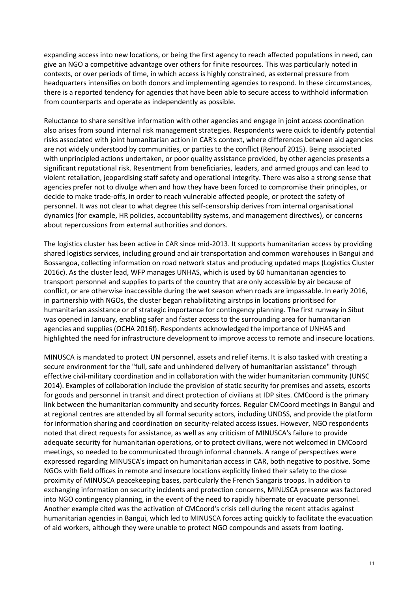expanding access into new locations, or being the first agency to reach affected populations in need, can give an NGO a competitive advantage over others for finite resources. This was particularly noted in contexts, or over periods of time, in which access is highly constrained, as external pressure from headquarters intensifies on both donors and implementing agencies to respond. In these circumstances, there is a reported tendency for agencies that have been able to secure access to withhold information from counterparts and operate as independently as possible.

Reluctance to share sensitive information with other agencies and engage in joint access coordination also arises from sound internal risk management strategies. Respondents were quick to identify potential risks associated with joint humanitarian action in CAR's context, where differences between aid agencies are not widely understood by communities, or parties to the conflict (Renouf 2015). Being associated with unprincipled actions undertaken, or poor quality assistance provided, by other agencies presents a significant reputational risk. Resentment from beneficiaries, leaders, and armed groups and can lead to violent retaliation, jeopardising staff safety and operational integrity. There was also a strong sense that agencies prefer not to divulge when and how they have been forced to compromise their principles, or decide to make trade-offs, in order to reach vulnerable affected people, or protect the safety of personnel. It was not clear to what degree this self-censorship derives from internal organisational dynamics (for example, HR policies, accountability systems, and management directives), or concerns about repercussions from external authorities and donors.

The logistics cluster has been active in CAR since mid-2013. It supports humanitarian access by providing shared logistics services, including ground and air transportation and common warehouses in Bangui and Bossangoa, collecting information on road network status and producing updated maps (Logistics Cluster 2016c). As the cluster lead, WFP manages UNHAS, which is used by 60 humanitarian agencies to transport personnel and supplies to parts of the country that are only accessible by air because of conflict, or are otherwise inaccessible during the wet season when roads are impassable. In early 2016, in partnership with NGOs, the cluster began rehabilitating airstrips in locations prioritised for humanitarian assistance or of strategic importance for contingency planning. The first runway in Sibut was opened in January, enabling safer and faster access to the surrounding area for humanitarian agencies and supplies (OCHA 2016f). Respondents acknowledged the importance of UNHAS and highlighted the need for infrastructure development to improve access to remote and insecure locations.

MINUSCA is mandated to protect UN personnel, assets and relief items. It is also tasked with creating a secure environment for the "full, safe and unhindered delivery of humanitarian assistance" through effective civil-military coordination and in collaboration with the wider humanitarian community (UNSC 2014). Examples of collaboration include the provision of static security for premises and assets, escorts for goods and personnel in transit and direct protection of civilians at IDP sites. CMCoord is the primary link between the humanitarian community and security forces. Regular CMCoord meetings in Bangui and at regional centres are attended by all formal security actors, including UNDSS, and provide the platform for information sharing and coordination on security-related access issues. However, NGO respondents noted that direct requests for assistance, as well as any criticism of MINUSCA's failure to provide adequate security for humanitarian operations, or to protect civilians, were not welcomed in CMCoord meetings, so needed to be communicated through informal channels. A range of perspectives were expressed regarding MINUSCA's impact on humanitarian access in CAR, both negative to positive. Some NGOs with field offices in remote and insecure locations explicitly linked their safety to the close proximity of MINUSCA peacekeeping bases, particularly the French Sangaris troops. In addition to exchanging information on security incidents and protection concerns, MINUSCA presence was factored into NGO contingency planning, in the event of the need to rapidly hibernate or evacuate personnel. Another example cited was the activation of CMCoord's crisis cell during the recent attacks against humanitarian agencies in Bangui, which led to MINUSCA forces acting quickly to facilitate the evacuation of aid workers, although they were unable to protect NGO compounds and assets from looting.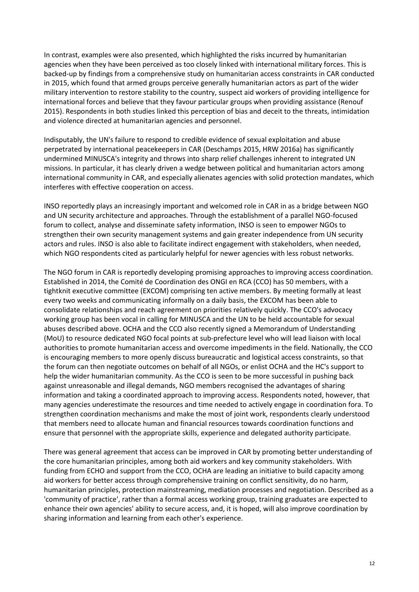In contrast, examples were also presented, which highlighted the risks incurred by humanitarian agencies when they have been perceived as too closely linked with international military forces. This is backed-up by findings from a comprehensive study on humanitarian access constraints in CAR conducted in 2015, which found that armed groups perceive generally humanitarian actors as part of the wider military intervention to restore stability to the country, suspect aid workers of providing intelligence for international forces and believe that they favour particular groups when providing assistance (Renouf 2015). Respondents in both studies linked this perception of bias and deceit to the threats, intimidation and violence directed at humanitarian agencies and personnel.

Indisputably, the UN's failure to respond to credible evidence of sexual exploitation and abuse perpetrated by international peacekeepers in CAR (Deschamps 2015, HRW 2016a) has significantly undermined MINUSCA's integrity and throws into sharp relief challenges inherent to integrated UN missions. In particular, it has clearly driven a wedge between political and humanitarian actors among international community in CAR, and especially alienates agencies with solid protection mandates, which interferes with effective cooperation on access.

INSO reportedly plays an increasingly important and welcomed role in CAR in as a bridge between NGO and UN security architecture and approaches. Through the establishment of a parallel NGO-focused forum to collect, analyse and disseminate safety information, INSO is seen to empower NGOs to strengthen their own security management systems and gain greater independence from UN security actors and rules. INSO is also able to facilitate indirect engagement with stakeholders, when needed, which NGO respondents cited as particularly helpful for newer agencies with less robust networks.

The NGO forum in CAR is reportedly developing promising approaches to improving access coordination. Established in 2014, the Comité de Coordination des ONGI en RCA (CCO) has 50 members, with a tightknit executive committee (EXCOM) comprising ten active members. By meeting formally at least every two weeks and communicating informally on a daily basis, the EXCOM has been able to consolidate relationships and reach agreement on priorities relatively quickly. The CCO's advocacy working group has been vocal in calling for MINUSCA and the UN to be held accountable for sexual abuses described above. OCHA and the CCO also recently signed a Memorandum of Understanding (MoU) to resource dedicated NGO focal points at sub-prefecture level who will lead liaison with local authorities to promote humanitarian access and overcome impediments in the field. Nationally, the CCO is encouraging members to more openly discuss bureaucratic and logistical access constraints, so that the forum can then negotiate outcomes on behalf of all NGOs, or enlist OCHA and the HC's support to help the wider humanitarian community. As the CCO is seen to be more successful in pushing back against unreasonable and illegal demands, NGO members recognised the advantages of sharing information and taking a coordinated approach to improving access. Respondents noted, however, that many agencies underestimate the resources and time needed to actively engage in coordination fora. To strengthen coordination mechanisms and make the most of joint work, respondents clearly understood that members need to allocate human and financial resources towards coordination functions and ensure that personnel with the appropriate skills, experience and delegated authority participate.

There was general agreement that access can be improved in CAR by promoting better understanding of the core humanitarian principles, among both aid workers and key community stakeholders. With funding from ECHO and support from the CCO, OCHA are leading an initiative to build capacity among aid workers for better access through comprehensive training on conflict sensitivity, do no harm, humanitarian principles, protection mainstreaming, mediation processes and negotiation. Described as a 'community of practice', rather than a formal access working group, training graduates are expected to enhance their own agencies' ability to secure access, and, it is hoped, will also improve coordination by sharing information and learning from each other's experience.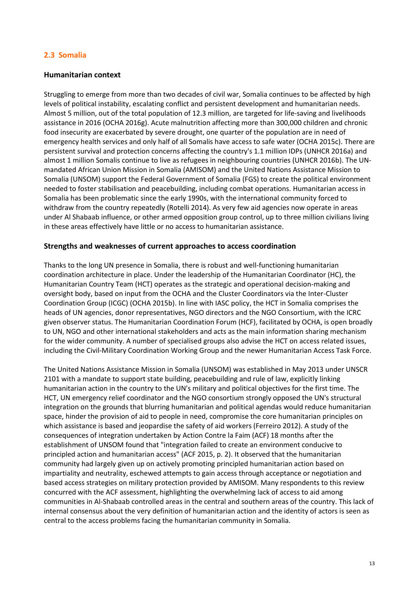## **2.3 Somalia**

#### **Humanitarian context**

Struggling to emerge from more than two decades of civil war, Somalia continues to be affected by high levels of political instability, escalating conflict and persistent development and humanitarian needs. Almost 5 million, out of the total population of 12.3 million, are targeted for life-saving and livelihoods assistance in 2016 (OCHA 2016g). Acute malnutrition affecting more than 300,000 children and chronic food insecurity are exacerbated by severe drought, one quarter of the population are in need of emergency health services and only half of all Somalis have access to safe water (OCHA 2015c). There are persistent survival and protection concerns affecting the country's 1.1 million IDPs (UNHCR 2016a) and almost 1 million Somalis continue to live as refugees in neighbouring countries (UNHCR 2016b). The UNmandated African Union Mission in Somalia (AMISOM) and the United Nations Assistance Mission to Somalia (UNSOM) support the Federal Government of Somalia (FGS) to create the political environment needed to foster stabilisation and peacebuilding, including combat operations. Humanitarian access in Somalia has been problematic since the early 1990s, with the international community forced to withdraw from the country repeatedly (Rotelli 2014). As very few aid agencies now operate in areas under Al Shabaab influence, or other armed opposition group control, up to three million civilians living in these areas effectively have little or no access to humanitarian assistance.

#### **Strengths and weaknesses of current approaches to access coordination**

Thanks to the long UN presence in Somalia, there is robust and well-functioning humanitarian coordination architecture in place. Under the leadership of the Humanitarian Coordinator (HC), the Humanitarian Country Team (HCT) operates as the strategic and operational decision-making and oversight body, based on input from the OCHA and the Cluster Coordinators via the Inter-Cluster Coordination Group (ICGC) (OCHA 2015b). In line with IASC policy, the HCT in Somalia comprises the heads of UN agencies, donor representatives, NGO directors and the NGO Consortium, with the ICRC given observer status. The Humanitarian Coordination Forum (HCF), facilitated by OCHA, is open broadly to UN, NGO and other international stakeholders and acts as the main information sharing mechanism for the wider community. A number of specialised groups also advise the HCT on access related issues, including the Civil-Military Coordination Working Group and the newer Humanitarian Access Task Force.

The United Nations Assistance Mission in Somalia (UNSOM) was established in May 2013 under UNSCR 2101 with a mandate to support state building, peacebuilding and rule of law, explicitly linking humanitarian action in the country to the UN's military and political objectives for the first time. The HCT, UN emergency relief coordinator and the NGO consortium strongly opposed the UN's structural integration on the grounds that blurring humanitarian and political agendas would reduce humanitarian space, hinder the provision of aid to people in need, compromise the core humanitarian principles on which assistance is based and jeopardise the safety of aid workers (Ferreiro 2012). A study of the consequences of integration undertaken by Action Contre la Faim (ACF) 18 months after the establishment of UNSOM found that "integration failed to create an environment conducive to principled action and humanitarian access" (ACF 2015, p. 2). It observed that the humanitarian community had largely given up on actively promoting principled humanitarian action based on impartiality and neutrality, eschewed attempts to gain access through acceptance or negotiation and based access strategies on military protection provided by AMISOM. Many respondents to this review concurred with the ACF assessment, highlighting the overwhelming lack of access to aid among communities in Al-Shabaab controlled areas in the central and southern areas of the country. This lack of internal consensus about the very definition of humanitarian action and the identity of actors is seen as central to the access problems facing the humanitarian community in Somalia.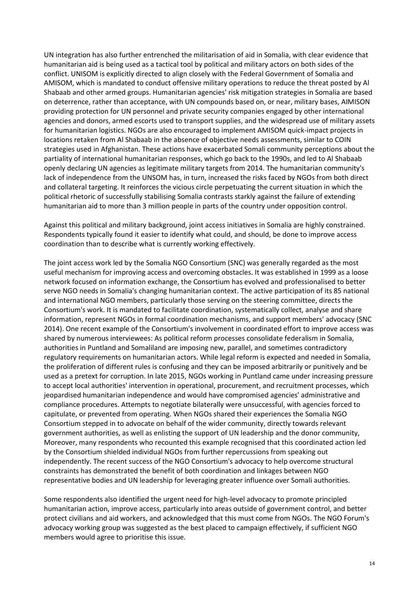UN integration has also further entrenched the militarisation of aid in Somalia, with clear evidence that humanitarian aid is being used as a tactical tool by political and military actors on both sides of the conflict. UNISOM is explicitly directed to align closely with the Federal Government of Somalia and AMISOM, which is mandated to conduct offensive military operations to reduce the threat posted by Al Shabaab and other armed groups. Humanitarian agencies' risk mitigation strategies in Somalia are based on deterrence, rather than acceptance, with UN compounds based on, or near, military bases, AIMISON providing protection for UN personnel and private security companies engaged by other international agencies and donors, armed escorts used to transport supplies, and the widespread use of military assets for humanitarian logistics. NGOs are also encouraged to implement AMISOM quick-impact projects in locations retaken from Al Shabaab in the absence of objective needs assessments, similar to COIN strategies used in Afghanistan. These actions have exacerbated Somali community perceptions about the partiality of international humanitarian responses, which go back to the 1990s, and led to Al Shabaab openly declaring UN agencies as legitimate military targets from 2014. The humanitarian community's lack of independence from the UNSOM has, in turn, increased the risks faced by NGOs from both direct and collateral targeting. It reinforces the vicious circle perpetuating the current situation in which the political rhetoric of successfully stabilising Somalia contrasts starkly against the failure of extending humanitarian aid to more than 3 million people in parts of the country under opposition control.

Against this political and military background, joint access initiatives in Somalia are highly constrained. Respondents typically found it easier to identify what could, and should, be done to improve access coordination than to describe what is currently working effectively.

The joint access work led by the Somalia NGO Consortium (SNC) was generally regarded as the most useful mechanism for improving access and overcoming obstacles. It was established in 1999 as a loose network focused on information exchange, the Consortium has evolved and professionalised to better serve NGO needs in Somalia's changing humanitarian context. The active participation of its 85 national and international NGO members, particularly those serving on the steering committee, directs the Consortium's work. It is mandated to facilitate coordination, systematically collect, analyse and share information, represent NGOs in formal coordination mechanisms, and support members' advocacy (SNC 2014). One recent example of the Consortium's involvement in coordinated effort to improve access was shared by numerous interviewees: As political reform processes consolidate federalism in Somalia, authorities in Puntland and Somaliland are imposing new, parallel, and sometimes contradictory regulatory requirements on humanitarian actors. While legal reform is expected and needed in Somalia, the proliferation of different rules is confusing and they can be imposed arbitrarily or punitively and be used as a pretext for corruption. In late 2015, NGOs working in Puntland came under increasing pressure to accept local authorities' intervention in operational, procurement, and recruitment processes, which jeopardised humanitarian independence and would have compromised agencies' administrative and compliance procedures. Attempts to negotiate bilaterally were unsuccessful, with agencies forced to capitulate, or prevented from operating. When NGOs shared their experiences the Somalia NGO Consortium stepped in to advocate on behalf of the wider community, directly towards relevant government authorities, as well as enlisting the support of UN leadership and the donor community, Moreover, many respondents who recounted this example recognised that this coordinated action led by the Consortium shielded individual NGOs from further repercussions from speaking out independently. The recent success of the NGO Consortium's advocacy to help overcome structural constraints has demonstrated the benefit of both coordination and linkages between NGO representative bodies and UN leadership for leveraging greater influence over Somali authorities.

Some respondents also identified the urgent need for high-level advocacy to promote principled humanitarian action, improve access, particularly into areas outside of government control, and better protect civilians and aid workers, and acknowledged that this must come from NGOs. The NGO Forum's advocacy working group was suggested as the best placed to campaign effectively, if sufficient NGO members would agree to prioritise this issue.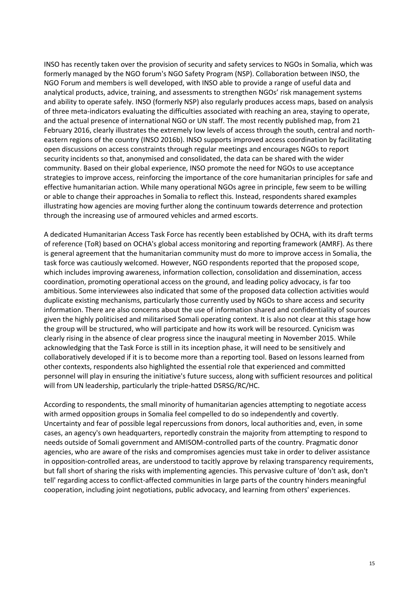INSO has recently taken over the provision of security and safety services to NGOs in Somalia, which was formerly managed by the NGO forum's NGO Safety Program (NSP). Collaboration between INSO, the NGO Forum and members is well developed, with INSO able to provide a range of useful data and analytical products, advice, training, and assessments to strengthen NGOs' risk management systems and ability to operate safely. INSO (formerly NSP) also regularly produces access maps, based on analysis of three meta-indicators evaluating the difficulties associated with reaching an area, staying to operate, and the actual presence of international NGO or UN staff. The most recently published map, from 21 February 2016, clearly illustrates the extremely low levels of access through the south, central and northeastern regions of the country (INSO 2016b). INSO supports improved access coordination by facilitating open discussions on access constraints through regular meetings and encourages NGOs to report security incidents so that, anonymised and consolidated, the data can be shared with the wider community. Based on their global experience, INSO promote the need for NGOs to use acceptance strategies to improve access, reinforcing the importance of the core humanitarian principles for safe and effective humanitarian action. While many operational NGOs agree in principle, few seem to be willing or able to change their approaches in Somalia to reflect this. Instead, respondents shared examples illustrating how agencies are moving further along the continuum towards deterrence and protection through the increasing use of armoured vehicles and armed escorts.

A dedicated Humanitarian Access Task Force has recently been established by OCHA, with its draft terms of reference (ToR) based on OCHA's global access monitoring and reporting framework (AMRF). As there is general agreement that the humanitarian community must do more to improve access in Somalia, the task force was cautiously welcomed. However, NGO respondents reported that the proposed scope, which includes improving awareness, information collection, consolidation and dissemination, access coordination, promoting operational access on the ground, and leading policy advocacy, is far too ambitious. Some interviewees also indicated that some of the proposed data collection activities would duplicate existing mechanisms, particularly those currently used by NGOs to share access and security information. There are also concerns about the use of information shared and confidentiality of sources given the highly politicised and militarised Somali operating context. It is also not clear at this stage how the group will be structured, who will participate and how its work will be resourced. Cynicism was clearly rising in the absence of clear progress since the inaugural meeting in November 2015. While acknowledging that the Task Force is still in its inception phase, it will need to be sensitively and collaboratively developed if it is to become more than a reporting tool. Based on lessons learned from other contexts, respondents also highlighted the essential role that experienced and committed personnel will play in ensuring the initiative's future success, along with sufficient resources and political will from UN leadership, particularly the triple-hatted DSRSG/RC/HC.

According to respondents, the small minority of humanitarian agencies attempting to negotiate access with armed opposition groups in Somalia feel compelled to do so independently and covertly. Uncertainty and fear of possible legal repercussions from donors, local authorities and, even, in some cases, an agency's own headquarters, reportedly constrain the majority from attempting to respond to needs outside of Somali government and AMISOM-controlled parts of the country. Pragmatic donor agencies, who are aware of the risks and compromises agencies must take in order to deliver assistance in opposition-controlled areas, are understood to tacitly approve by relaxing transparency requirements, but fall short of sharing the risks with implementing agencies. This pervasive culture of 'don't ask, don't tell' regarding access to conflict-affected communities in large parts of the country hinders meaningful cooperation, including joint negotiations, public advocacy, and learning from others' experiences.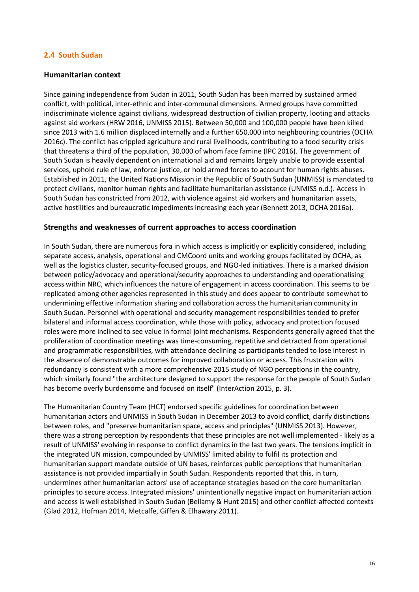## **2.4 South Sudan**

#### **Humanitarian context**

Since gaining independence from Sudan in 2011, South Sudan has been marred by sustained armed conflict, with political, inter-ethnic and inter-communal dimensions. Armed groups have committed indiscriminate violence against civilians, widespread destruction of civilian property, looting and attacks against aid workers (HRW 2016, UNMISS 2015). Between 50,000 and 100,000 people have been killed since 2013 with 1.6 million displaced internally and a further 650,000 into neighbouring countries (OCHA 2016c). The conflict has crippled agriculture and rural livelihoods, contributing to a food security crisis that threatens a third of the population, 30,000 of whom face famine (IPC 2016). The government of South Sudan is heavily dependent on international aid and remains largely unable to provide essential services, uphold rule of law, enforce justice, or hold armed forces to account for human rights abuses. Established in 2011, the United Nations Mission in the Republic of South Sudan (UNMISS) is mandated to protect civilians, monitor human rights and facilitate humanitarian assistance (UNMISS n.d.). Access in South Sudan has constricted from 2012, with violence against aid workers and humanitarian assets, active hostilities and bureaucratic impediments increasing each year (Bennett 2013, OCHA 2016a).

#### **Strengths and weaknesses of current approaches to access coordination**

In South Sudan, there are numerous fora in which access is implicitly or explicitly considered, including separate access, analysis, operational and CMCoord units and working groups facilitated by OCHA, as well as the logistics cluster, security-focused groups, and NGO-led initiatives. There is a marked division between policy/advocacy and operational/security approaches to understanding and operationalising access within NRC, which influences the nature of engagement in access coordination. This seems to be replicated among other agencies represented in this study and does appear to contribute somewhat to undermining effective information sharing and collaboration across the humanitarian community in South Sudan. Personnel with operational and security management responsibilities tended to prefer bilateral and informal access coordination, while those with policy, advocacy and protection focused roles were more inclined to see value in formal joint mechanisms. Respondents generally agreed that the proliferation of coordination meetings was time-consuming, repetitive and detracted from operational and programmatic responsibilities, with attendance declining as participants tended to lose interest in the absence of demonstrable outcomes for improved collaboration or access. This frustration with redundancy is consistent with a more comprehensive 2015 study of NGO perceptions in the country, which similarly found "the architecture designed to support the response for the people of South Sudan has become overly burdensome and focused on itself" (InterAction 2015, p. 3).

The Humanitarian Country Team (HCT) endorsed specific guidelines for coordination between humanitarian actors and UNMISS in South Sudan in December 2013 to avoid conflict, clarify distinctions between roles, and "preserve humanitarian space, access and principles" (UNMISS 2013). However, there was a strong perception by respondents that these principles are not well implemented - likely as a result of UNMISS' evolving in response to conflict dynamics in the last two years. The tensions implicit in the integrated UN mission, compounded by UNMISS' limited ability to fulfil its protection and humanitarian support mandate outside of UN bases, reinforces public perceptions that humanitarian assistance is not provided impartially in South Sudan. Respondents reported that this, in turn, undermines other humanitarian actors' use of acceptance strategies based on the core humanitarian principles to secure access. Integrated missions' unintentionally negative impact on humanitarian action and access is well established in South Sudan (Bellamy & Hunt 2015) and other conflict-affected contexts (Glad 2012, Hofman 2014, Metcalfe, Giffen & Elhawary 2011).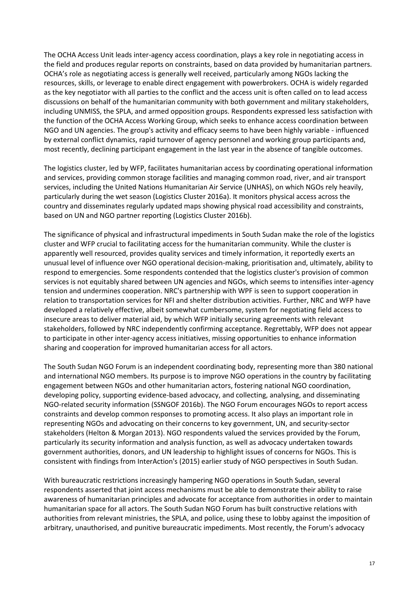The OCHA Access Unit leads inter-agency access coordination, plays a key role in negotiating access in the field and produces regular reports on constraints, based on data provided by humanitarian partners. OCHA's role as negotiating access is generally well received, particularly among NGOs lacking the resources, skills, or leverage to enable direct engagement with powerbrokers. OCHA is widely regarded as the key negotiator with all parties to the conflict and the access unit is often called on to lead access discussions on behalf of the humanitarian community with both government and military stakeholders, including UNMISS, the SPLA, and armed opposition groups. Respondents expressed less satisfaction with the function of the OCHA Access Working Group, which seeks to enhance access coordination between NGO and UN agencies. The group's activity and efficacy seems to have been highly variable - influenced by external conflict dynamics, rapid turnover of agency personnel and working group participants and, most recently, declining participant engagement in the last year in the absence of tangible outcomes.

The logistics cluster, led by WFP, facilitates humanitarian access by coordinating operational information and services, providing common storage facilities and managing common road, river, and air transport services, including the United Nations Humanitarian Air Service (UNHAS), on which NGOs rely heavily, particularly during the wet season (Logistics Cluster 2016a). It monitors physical access across the country and disseminates regularly updated maps showing physical road accessibility and constraints, based on UN and NGO partner reporting (Logistics Cluster 2016b).

The significance of physical and infrastructural impediments in South Sudan make the role of the logistics cluster and WFP crucial to facilitating access for the humanitarian community. While the cluster is apparently well resourced, provides quality services and timely information, it reportedly exerts an unusual level of influence over NGO operational decision-making, prioritisation and, ultimately, ability to respond to emergencies. Some respondents contended that the logistics cluster's provision of common services is not equitably shared between UN agencies and NGOs, which seems to intensifies inter-agency tension and undermines cooperation. NRC's partnership with WPF is seen to support cooperation in relation to transportation services for NFI and shelter distribution activities. Further, NRC and WFP have developed a relatively effective, albeit somewhat cumbersome, system for negotiating field access to insecure areas to deliver material aid, by which WFP initially securing agreements with relevant stakeholders, followed by NRC independently confirming acceptance. Regrettably, WFP does not appear to participate in other inter-agency access initiatives, missing opportunities to enhance information sharing and cooperation for improved humanitarian access for all actors.

The South Sudan NGO Forum is an independent coordinating body, representing more than 380 national and international NGO members. Its purpose is to improve NGO operations in the country by facilitating engagement between NGOs and other humanitarian actors, fostering national NGO coordination, developing policy, supporting evidence-based advocacy, and collecting, analysing, and disseminating NGO-related security information (SSNGOF 2016b). The NGO Forum encourages NGOs to report access constraints and develop common responses to promoting access. It also plays an important role in representing NGOs and advocating on their concerns to key government, UN, and security-sector stakeholders (Helton & Morgan 2013). NGO respondents valued the services provided by the Forum, particularly its security information and analysis function, as well as advocacy undertaken towards government authorities, donors, and UN leadership to highlight issues of concerns for NGOs. This is consistent with findings from InterAction's (2015) earlier study of NGO perspectives in South Sudan.

With bureaucratic restrictions increasingly hampering NGO operations in South Sudan, several respondents asserted that joint access mechanisms must be able to demonstrate their ability to raise awareness of humanitarian principles and advocate for acceptance from authorities in order to maintain humanitarian space for all actors. The South Sudan NGO Forum has built constructive relations with authorities from relevant ministries, the SPLA, and police, using these to lobby against the imposition of arbitrary, unauthorised, and punitive bureaucratic impediments. Most recently, the Forum's advocacy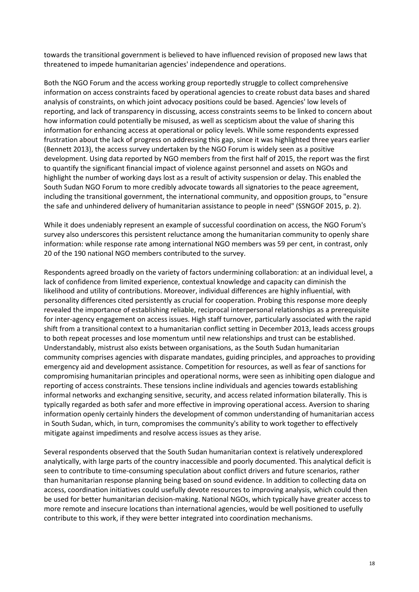towards the transitional government is believed to have influenced revision of proposed new laws that threatened to impede humanitarian agencies' independence and operations.

Both the NGO Forum and the access working group reportedly struggle to collect comprehensive information on access constraints faced by operational agencies to create robust data bases and shared analysis of constraints, on which joint advocacy positions could be based. Agencies' low levels of reporting, and lack of transparency in discussing, access constraints seems to be linked to concern about how information could potentially be misused, as well as scepticism about the value of sharing this information for enhancing access at operational or policy levels. While some respondents expressed frustration about the lack of progress on addressing this gap, since it was highlighted three years earlier (Bennett 2013), the access survey undertaken by the NGO Forum is widely seen as a positive development. Using data reported by NGO members from the first half of 2015, the report was the first to quantify the significant financial impact of violence against personnel and assets on NGOs and highlight the number of working days lost as a result of activity suspension or delay. This enabled the South Sudan NGO Forum to more credibly advocate towards all signatories to the peace agreement, including the transitional government, the international community, and opposition groups, to "ensure the safe and unhindered delivery of humanitarian assistance to people in need" (SSNGOF 2015, p. 2).

While it does undeniably represent an example of successful coordination on access, the NGO Forum's survey also underscores this persistent reluctance among the humanitarian community to openly share information: while response rate among international NGO members was 59 per cent, in contrast, only 20 of the 190 national NGO members contributed to the survey.

Respondents agreed broadly on the variety of factors undermining collaboration: at an individual level, a lack of confidence from limited experience, contextual knowledge and capacity can diminish the likelihood and utility of contributions. Moreover, individual differences are highly influential, with personality differences cited persistently as crucial for cooperation. Probing this response more deeply revealed the importance of establishing reliable, reciprocal interpersonal relationships as a prerequisite for inter-agency engagement on access issues. High staff turnover, particularly associated with the rapid shift from a transitional context to a humanitarian conflict setting in December 2013, leads access groups to both repeat processes and lose momentum until new relationships and trust can be established. Understandably, mistrust also exists between organisations, as the South Sudan humanitarian community comprises agencies with disparate mandates, guiding principles, and approaches to providing emergency aid and development assistance. Competition for resources, as well as fear of sanctions for compromising humanitarian principles and operational norms, were seen as inhibiting open dialogue and reporting of access constraints. These tensions incline individuals and agencies towards establishing informal networks and exchanging sensitive, security, and access related information bilaterally. This is typically regarded as both safer and more effective in improving operational access. Aversion to sharing information openly certainly hinders the development of common understanding of humanitarian access in South Sudan, which, in turn, compromises the community's ability to work together to effectively mitigate against impediments and resolve access issues as they arise.

Several respondents observed that the South Sudan humanitarian context is relatively underexplored analytically, with large parts of the country inaccessible and poorly documented. This analytical deficit is seen to contribute to time-consuming speculation about conflict drivers and future scenarios, rather than humanitarian response planning being based on sound evidence. In addition to collecting data on access, coordination initiatives could usefully devote resources to improving analysis, which could then be used for better humanitarian decision-making. National NGOs, which typically have greater access to more remote and insecure locations than international agencies, would be well positioned to usefully contribute to this work, if they were better integrated into coordination mechanisms.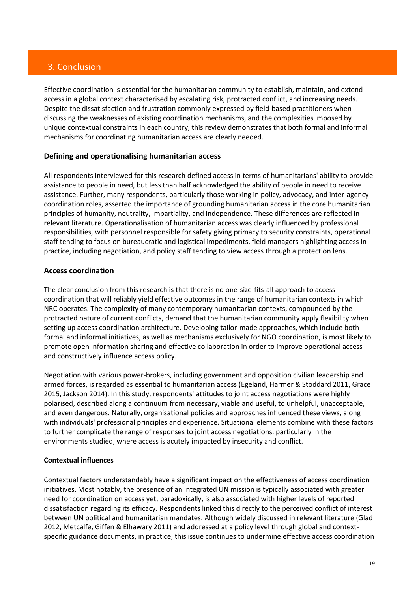# 3. Conclusion

Effective coordination is essential for the humanitarian community to establish, maintain, and extend access in a global context characterised by escalating risk, protracted conflict, and increasing needs. Despite the dissatisfaction and frustration commonly expressed by field-based practitioners when discussing the weaknesses of existing coordination mechanisms, and the complexities imposed by unique contextual constraints in each country, this review demonstrates that both formal and informal mechanisms for coordinating humanitarian access are clearly needed.

## **Defining and operationalising humanitarian access**

All respondents interviewed for this research defined access in terms of humanitarians' ability to provide assistance to people in need, but less than half acknowledged the ability of people in need to receive assistance. Further, many respondents, particularly those working in policy, advocacy, and inter-agency coordination roles, asserted the importance of grounding humanitarian access in the core humanitarian principles of humanity, neutrality, impartiality, and independence. These differences are reflected in relevant literature. Operationalisation of humanitarian access was clearly influenced by professional responsibilities, with personnel responsible for safety giving primacy to security constraints, operational staff tending to focus on bureaucratic and logistical impediments, field managers highlighting access in practice, including negotiation, and policy staff tending to view access through a protection lens.

#### **Access coordination**

The clear conclusion from this research is that there is no one-size-fits-all approach to access coordination that will reliably yield effective outcomes in the range of humanitarian contexts in which NRC operates. The complexity of many contemporary humanitarian contexts, compounded by the protracted nature of current conflicts, demand that the humanitarian community apply flexibility when setting up access coordination architecture. Developing tailor-made approaches, which include both formal and informal initiatives, as well as mechanisms exclusively for NGO coordination, is most likely to promote open information sharing and effective collaboration in order to improve operational access and constructively influence access policy.

Negotiation with various power-brokers, including government and opposition civilian leadership and armed forces, is regarded as essential to humanitarian access (Egeland, Harmer & Stoddard 2011, Grace 2015, Jackson 2014). In this study, respondents' attitudes to joint access negotiations were highly polarised, described along a continuum from necessary, viable and useful, to unhelpful, unacceptable, and even dangerous. Naturally, organisational policies and approaches influenced these views, along with individuals' professional principles and experience. Situational elements combine with these factors to further complicate the range of responses to joint access negotiations, particularly in the environments studied, where access is acutely impacted by insecurity and conflict.

#### **Contextual influences**

Contextual factors understandably have a significant impact on the effectiveness of access coordination initiatives. Most notably, the presence of an integrated UN mission is typically associated with greater need for coordination on access yet, paradoxically, is also associated with higher levels of reported dissatisfaction regarding its efficacy. Respondents linked this directly to the perceived conflict of interest between UN political and humanitarian mandates. Although widely discussed in relevant literature (Glad 2012, Metcalfe, Giffen & Elhawary 2011) and addressed at a policy level through global and contextspecific guidance documents, in practice, this issue continues to undermine effective access coordination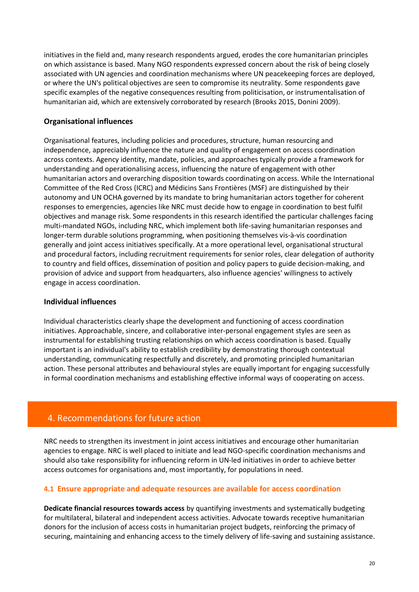initiatives in the field and, many research respondents argued, erodes the core humanitarian principles on which assistance is based. Many NGO respondents expressed concern about the risk of being closely associated with UN agencies and coordination mechanisms where UN peacekeeping forces are deployed, or where the UN's political objectives are seen to compromise its neutrality. Some respondents gave specific examples of the negative consequences resulting from politicisation, or instrumentalisation of humanitarian aid, which are extensively corroborated by research (Brooks 2015, Donini 2009).

## **Organisational influences**

Organisational features, including policies and procedures, structure, human resourcing and independence, appreciably influence the nature and quality of engagement on access coordination across contexts. Agency identity, mandate, policies, and approaches typically provide a framework for understanding and operationalising access, influencing the nature of engagement with other humanitarian actors and overarching disposition towards coordinating on access. While the International Committee of the Red Cross (ICRC) and Médicins Sans Frontières (MSF) are distinguished by their autonomy and UN OCHA governed by its mandate to bring humanitarian actors together for coherent responses to emergencies, agencies like NRC must decide how to engage in coordination to best fulfil objectives and manage risk. Some respondents in this research identified the particular challenges facing multi-mandated NGOs, including NRC, which implement both life-saving humanitarian responses and longer-term durable solutions programming, when positioning themselves vis-à-vis coordination generally and joint access initiatives specifically. At a more operational level, organisational structural and procedural factors, including recruitment requirements for senior roles, clear delegation of authority to country and field offices, dissemination of position and policy papers to guide decision-making, and provision of advice and support from headquarters, also influence agencies' willingness to actively engage in access coordination.

## **Individual influences**

Individual characteristics clearly shape the development and functioning of access coordination initiatives. Approachable, sincere, and collaborative inter-personal engagement styles are seen as instrumental for establishing trusting relationships on which access coordination is based. Equally important is an individual's ability to establish credibility by demonstrating thorough contextual understanding, communicating respectfully and discretely, and promoting principled humanitarian action. These personal attributes and behavioural styles are equally important for engaging successfully in formal coordination mechanisms and establishing effective informal ways of cooperating on access.

## 4. Recommendations for future action

NRC needs to strengthen its investment in joint access initiatives and encourage other humanitarian agencies to engage. NRC is well placed to initiate and lead NGO-specific coordination mechanisms and should also take responsibility for influencing reform in UN-led initiatives in order to achieve better access outcomes for organisations and, most importantly, for populations in need.

## **4.1 Ensure appropriate and adequate resources are available for access coordination**

**Dedicate financial resources towards access** by quantifying investments and systematically budgeting for multilateral, bilateral and independent access activities. Advocate towards receptive humanitarian donors for the inclusion of access costs in humanitarian project budgets, reinforcing the primacy of securing, maintaining and enhancing access to the timely delivery of life-saving and sustaining assistance.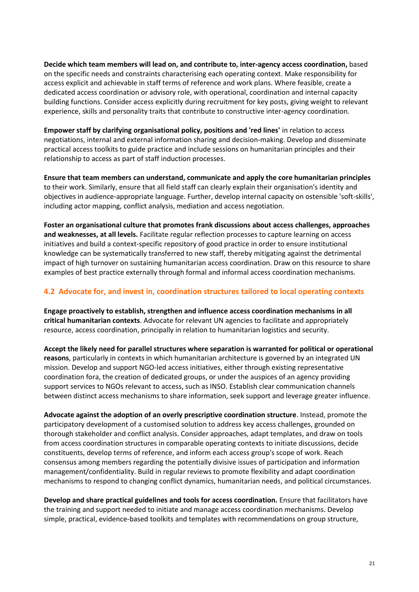**Decide which team members will lead on, and contribute to, inter-agency access coordination,** based on the specific needs and constraints characterising each operating context. Make responsibility for access explicit and achievable in staff terms of reference and work plans. Where feasible, create a dedicated access coordination or advisory role, with operational, coordination and internal capacity building functions. Consider access explicitly during recruitment for key posts, giving weight to relevant experience, skills and personality traits that contribute to constructive inter-agency coordination.

**Empower staff by clarifying organisational policy, positions and 'red lines'** in relation to access negotiations, internal and external information sharing and decision-making. Develop and disseminate practical access toolkits to guide practice and include sessions on humanitarian principles and their relationship to access as part of staff induction processes.

**Ensure that team members can understand, communicate and apply the core humanitarian principles** to their work. Similarly, ensure that all field staff can clearly explain their organisation's identity and objectives in audience-appropriate language. Further, develop internal capacity on ostensible 'soft-skills', including actor mapping, conflict analysis, mediation and access negotiation.

**Foster an organisational culture that promotes frank discussions about access challenges, approaches and weaknesses, at all levels.** Facilitate regular reflection processes to capture learning on access initiatives and build a context-specific repository of good practice in order to ensure institutional knowledge can be systematically transferred to new staff, thereby mitigating against the detrimental impact of high turnover on sustaining humanitarian access coordination. Draw on this resource to share examples of best practice externally through formal and informal access coordination mechanisms.

## **4.2 Advocate for, and invest in, coordination structures tailored to local operating contexts**

**Engage proactively to establish, strengthen and influence access coordination mechanisms in all critical humanitarian contexts**. Advocate for relevant UN agencies to facilitate and appropriately resource, access coordination, principally in relation to humanitarian logistics and security.

**Accept the likely need for parallel structures where separation is warranted for political or operational reasons**, particularly in contexts in which humanitarian architecture is governed by an integrated UN mission. Develop and support NGO-led access initiatives, either through existing representative coordination fora, the creation of dedicated groups, or under the auspices of an agency providing support services to NGOs relevant to access, such as INSO. Establish clear communication channels between distinct access mechanisms to share information, seek support and leverage greater influence.

**Advocate against the adoption of an overly prescriptive coordination structure**. Instead, promote the participatory development of a customised solution to address key access challenges, grounded on thorough stakeholder and conflict analysis. Consider approaches, adapt templates, and draw on tools from access coordination structures in comparable operating contexts to initiate discussions, decide constituents, develop terms of reference, and inform each access group's scope of work. Reach consensus among members regarding the potentially divisive issues of participation and information management/confidentiality. Build in regular reviews to promote flexibility and adapt coordination mechanisms to respond to changing conflict dynamics, humanitarian needs, and political circumstances.

**Develop and share practical guidelines and tools for access coordination.** Ensure that facilitators have the training and support needed to initiate and manage access coordination mechanisms. Develop simple, practical, evidence-based toolkits and templates with recommendations on group structure,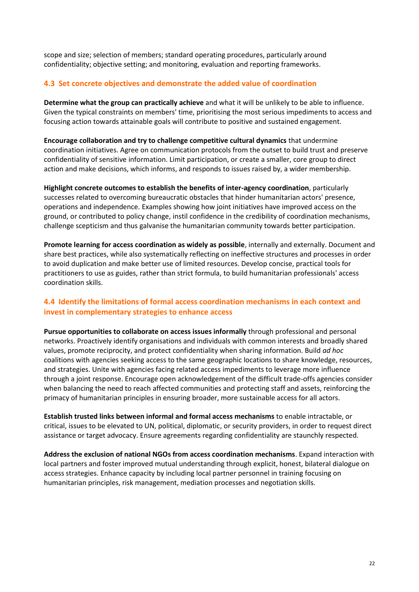scope and size; selection of members; standard operating procedures, particularly around confidentiality; objective setting; and monitoring, evaluation and reporting frameworks.

## **4.3 Set concrete objectives and demonstrate the added value of coordination**

**Determine what the group can practically achieve** and what it will be unlikely to be able to influence. Given the typical constraints on members' time, prioritising the most serious impediments to access and focusing action towards attainable goals will contribute to positive and sustained engagement.

**Encourage collaboration and try to challenge competitive cultural dynamics** that undermine coordination initiatives. Agree on communication protocols from the outset to build trust and preserve confidentiality of sensitive information. Limit participation, or create a smaller, core group to direct action and make decisions, which informs, and responds to issues raised by, a wider membership.

**Highlight concrete outcomes to establish the benefits of inter-agency coordination**, particularly successes related to overcoming bureaucratic obstacles that hinder humanitarian actors' presence, operations and independence. Examples showing how joint initiatives have improved access on the ground, or contributed to policy change, instil confidence in the credibility of coordination mechanisms, challenge scepticism and thus galvanise the humanitarian community towards better participation.

**Promote learning for access coordination as widely as possible**, internally and externally. Document and share best practices, while also systematically reflecting on ineffective structures and processes in order to avoid duplication and make better use of limited resources. Develop concise, practical tools for practitioners to use as guides, rather than strict formula, to build humanitarian professionals' access coordination skills.

## **4.4 Identify the limitations of formal access coordination mechanisms in each context and invest in complementary strategies to enhance access**

**Pursue opportunities to collaborate on access issues informally** through professional and personal networks. Proactively identify organisations and individuals with common interests and broadly shared values, promote reciprocity, and protect confidentiality when sharing information. Build *ad hoc* coalitions with agencies seeking access to the same geographic locations to share knowledge, resources, and strategies. Unite with agencies facing related access impediments to leverage more influence through a joint response. Encourage open acknowledgement of the difficult trade-offs agencies consider when balancing the need to reach affected communities and protecting staff and assets, reinforcing the primacy of humanitarian principles in ensuring broader, more sustainable access for all actors.

**Establish trusted links between informal and formal access mechanisms** to enable intractable, or critical, issues to be elevated to UN, political, diplomatic, or security providers, in order to request direct assistance or target advocacy. Ensure agreements regarding confidentiality are staunchly respected.

**Address the exclusion of national NGOs from access coordination mechanisms**. Expand interaction with local partners and foster improved mutual understanding through explicit, honest, bilateral dialogue on access strategies. Enhance capacity by including local partner personnel in training focusing on humanitarian principles, risk management, mediation processes and negotiation skills.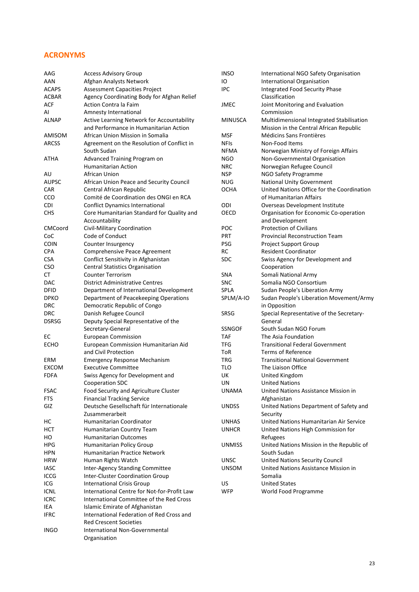#### **ACRONYMS**

INGO International Non-Governmental Organisation

| AAG          | <b>Access Advisory Group</b>                | <b>INSO</b>    | International NGO Safety Organisation      |
|--------------|---------------------------------------------|----------------|--------------------------------------------|
| AAN          | Afghan Analysts Network                     | IO             | <b>International Organisation</b>          |
| <b>ACAPS</b> | <b>Assessment Capacities Project</b>        | <b>IPC</b>     | Integrated Food Security Phase             |
| <b>ACBAR</b> | Agency Coordinating Body for Afghan Relief  |                | Classification                             |
| ACF          | Action Contra la Faim                       | <b>JMEC</b>    | Joint Monitoring and Evaluation            |
| AI           | Amnesty International                       |                | Commission                                 |
| <b>ALNAP</b> | Active Learning Network for Accountability  | <b>MINUSCA</b> | Multidimensional Integrated Stabilisation  |
|              | and Performance in Humanitarian Action      |                | Mission in the Central African Republic    |
|              | African Union Mission in Somalia            |                |                                            |
| AMISOM       |                                             | MSF            | Médicins Sans Frontières                   |
| <b>ARCSS</b> | Agreement on the Resolution of Conflict in  | <b>NFIs</b>    | Non-Food Items                             |
|              | South Sudan                                 | <b>NFMA</b>    | Norwegian Ministry of Foreign Affairs      |
| ATHA         | Advanced Training Program on                | <b>NGO</b>     | Non-Governmental Organisation              |
|              | <b>Humanitarian Action</b>                  | <b>NRC</b>     | Norwegian Refugee Council                  |
| AU           | African Union                               | <b>NSP</b>     | NGO Safety Programme                       |
| <b>AUPSC</b> | African Union Peace and Security Council    | <b>NUG</b>     | <b>National Unity Government</b>           |
| CAR          | Central African Republic                    | <b>OCHA</b>    | United Nations Office for the Coordination |
| CCO          | Comité de Coordination des ONGI en RCA      |                | of Humanitarian Affairs                    |
| <b>CDI</b>   | <b>Conflict Dynamics International</b>      | ODI            | Overseas Development Institute             |
| <b>CHS</b>   | Core Humanitarian Standard for Quality and  | OECD           | Organisation for Economic Co-operation     |
|              | Accountability                              |                | and Development                            |
| CMCoord      | Civil-Military Coordination                 | POC            | <b>Protection of Civilians</b>             |
| CoC          | Code of Conduct                             | PRT            | <b>Provincial Reconstruction Team</b>      |
| <b>COIN</b>  | Counter Insurgency                          | PSG            | <b>Project Support Group</b>               |
| <b>CPA</b>   | Comprehensive Peace Agreement               | <b>RC</b>      | <b>Resident Coordinator</b>                |
| <b>CSA</b>   | Conflict Sensitivity in Afghanistan         | <b>SDC</b>     | Swiss Agency for Development and           |
| <b>CSO</b>   | <b>Central Statistics Organisation</b>      |                | Cooperation                                |
| CT           | <b>Counter Terrorism</b>                    | <b>SNA</b>     | Somali National Army                       |
| <b>DAC</b>   | <b>District Administrative Centres</b>      | <b>SNC</b>     | Somalia NGO Consortium                     |
| <b>DFID</b>  |                                             | <b>SPLA</b>    |                                            |
|              | Department of International Development     | SPLM/A-IO      | Sudan People's Liberation Army             |
| <b>DPKO</b>  | Department of Peacekeeping Operations       |                | Sudan People's Liberation Movement/Army    |
| <b>DRC</b>   | Democratic Republic of Congo                |                | in Opposition                              |
| <b>DRC</b>   | Danish Refugee Council                      | <b>SRSG</b>    | Special Representative of the Secretary-   |
| <b>DSRSG</b> | Deputy Special Representative of the        |                | General                                    |
|              | Secretary-General                           | <b>SSNGOF</b>  | South Sudan NGO Forum                      |
| EC           | <b>European Commission</b>                  | TAF            | The Asia Foundation                        |
| <b>ECHO</b>  | European Commission Humanitarian Aid        | TFG            | <b>Transitional Federal Government</b>     |
|              | and Civil Protection                        | ToR            | <b>Terms of Reference</b>                  |
| ERM          | <b>Emergency Response Mechanism</b>         | <b>TRG</b>     | <b>Transitional National Government</b>    |
| <b>EXCOM</b> | <b>Executive Committee</b>                  | TLO            | The Liaison Office                         |
| <b>FDFA</b>  | Swiss Agency for Development and            | UK             | United Kingdom                             |
|              | <b>Cooperation SDC</b>                      | UN             | <b>United Nations</b>                      |
| <b>FSAC</b>  | Food Security and Agriculture Cluster       | <b>UNAMA</b>   | United Nations Assistance Mission in       |
| FTS          | <b>Financial Tracking Service</b>           |                | Afghanistan                                |
| GIZ          | Deutsche Gesellschaft für Internationale    | <b>UNDSS</b>   | United Nations Department of Safety and    |
|              | Zusammerarbeit                              |                | Security                                   |
| НC           | Humanitarian Coordinator                    | <b>UNHAS</b>   | United Nations Humanitarian Air Service    |
| <b>HCT</b>   | Humanitarian Country Team                   | <b>UNHCR</b>   | United Nations High Commission for         |
| HO           | Humanitarian Outcomes                       |                | Refugees                                   |
| <b>HPG</b>   | Humanitarian Policy Group                   | <b>UNMISS</b>  | United Nations Mission in the Republic of  |
| <b>HPN</b>   | Humanitarian Practice Network               |                | South Sudan                                |
| <b>HRW</b>   | Human Rights Watch                          | <b>UNSC</b>    | United Nations Security Council            |
| <b>IASC</b>  | Inter-Agency Standing Committee             | <b>UNSOM</b>   | United Nations Assistance Mission in       |
|              |                                             |                |                                            |
| <b>ICCG</b>  | Inter-Cluster Coordination Group            |                | Somalia                                    |
| ICG          | <b>International Crisis Group</b>           | US             | <b>United States</b>                       |
| <b>ICNL</b>  | International Centre for Not-for-Profit Law | <b>WFP</b>     | World Food Programme                       |
| <b>ICRC</b>  | International Committee of the Red Cross    |                |                                            |
| IEA          | Islamic Emirate of Afghanistan              |                |                                            |
| <b>IFRC</b>  | International Federation of Red Cross and   |                |                                            |
|              | <b>Red Crescent Societies</b>               |                |                                            |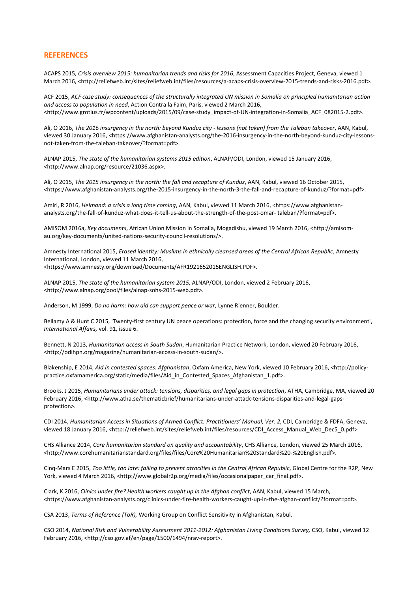#### **REFERENCES**

ACAPS 2015, *Crisis overview 2015: humanitarian trends and risks for 2016*, Assessment Capacities Project, Geneva, viewed 1 March 2016, <http://reliefweb.int/sites/reliefweb.int/files/resources/a-acaps-crisis-overview-2015-trends-and-risks-2016.pdf>.

ACF 2015, *ACF case study: consequences of the structurally integrated UN mission in Somalia on principled humanitarian action and access to population in need*, Action Contra la Faim, Paris, viewed 2 March 2016, <http://www.grotius.fr/wpcontent/uploads/2015/09/case-study\_impact-of-UN-integration-in-Somalia\_ACF\_082015-2.pdf>.

Ali, O 2016, *The 2016 insurgency in the north: beyond Kunduz city - lessons (not taken) from the Taleban takeover*, AAN, Kabul, viewed 30 January 2016, <https://www.afghanistan-analysts.org/the-2016-insurgency-in-the-north-beyond-kunduz-city-lessonsnot-taken-from-the-taleban-takeover/?format=pdf>.

ALNAP 2015, *The state of the humanitarian systems 2015 edition*, ALNAP/ODI, London, viewed 15 January 2016, <http://www.alnap.org/resource/21036.aspx>.

Ali, O 2015, *The 2015 insurgency in the north: the fall and recapture of Kunduz*, AAN, Kabul, viewed 16 October 2015, <https://www.afghanistan-analysts.org/the-2015-insurgency-in-the-north-3-the-fall-and-recapture-of-kunduz/?format=pdf>.

Amiri, R 2016, *Helmand: a crisis a long time coming*, AAN, Kabul, viewed 11 March 2016, <https://www.afghanistananalysts.org/the-fall-of-kunduz-what-does-it-tell-us-about-the-strength-of-the-post-omar- taleban/?format=pdf>.

AMISOM 2016a, *Key documents*, African Union Mission in Somalia, Mogadishu, viewed 19 March 2016, <http://amisomau.org/key-documents/united-nations-security-council-resolutions/>.

Amnesty International 2015, *Erased identity: Muslims in ethnically cleansed areas of the Central African Republic*, Amnesty International, London, viewed 11 March 2016, <https://www.amnesty.org/download/Documents/AFR1921652015ENGLISH.PDF>.

ALNAP 2015, *The state of the humanitarian system 2015*, ALNAP/ODI, London, viewed 2 February 2016, <http://www.alnap.org/pool/files/alnap-sohs-2015-web.pdf>.

Anderson, M 1999, *Do no harm: how aid can support peace or war*, Lynne Rienner, Boulder.

Bellamy A & Hunt C 2015, 'Twenty-first century UN peace operations: protection, force and the changing security environment', *International Affairs,* vol. 91, issue 6.

Bennett, N 2013, *Humanitarian access in South Sudan*, Humanitarian Practice Network, London, viewed 20 February 2016, <http://odihpn.org/magazine/humanitarian-access-in-south-sudan/>.

Blakenship, E 2014, *Aid in contested spaces: Afghanistan*, Oxfam America, New York, viewed 10 February 2016, <http://policypractice.oxfamamerica.org/static/media/files/Aid\_in\_Contested\_Spaces\_Afghanistan\_1.pdf>.

Brooks, J 2015, *Humanitarians under attack: tensions, disparities, and legal gaps in protection*, ATHA, Cambridge, MA, viewed 20 February 2016, <http://www.atha.se/thematicbrief/humanitarians-under-attack-tensions-disparities-and-legal-gapsprotection>.

CDI 2014, *Humanitarian Access in Situations of Armed Conflict: Practitioners' Manual, Ver. 2*, CDI, Cambridge & FDFA, Geneva, viewed 18 January 2016, <http://reliefweb.int/sites/reliefweb.int/files/resources/CDI\_Access\_Manual\_Web\_Dec5\_0.pdf>

CHS Alliance 2014, *Core humanitarian standard on quality and accountability*, CHS Alliance, London, viewed 25 March 2016, <http://www.corehumanitarianstandard.org/files/files/Core%20Humanitarian%20Standard%20-%20English.pdf>.

Cinq-Mars E 2015, *Too little, too late: failing to prevent atrocities in the Central African Republic*, Global Centre for the R2P, New York, viewed 4 March 2016, <http://www.globalr2p.org/media/files/occasionalpaper\_car\_final.pdf>.

Clark, K 2016, *Clinics under fire? Health workers caught up in the Afghan conflict*, AAN, Kabul, viewed 15 March, <https://www.afghanistan-analysts.org/clinics-under-fire-health-workers-caught-up-in-the-afghan-conflict/?format=pdf>.

CSA 2013, *Terms of Reference (ToR),* Working Group on Conflict Sensitivity in Afghanistan, Kabul.

CSO 2014, *National Risk and Vulnerability Assessment 2011-2012: Afghanistan Living Conditions Survey,* CSO, Kabul, viewed 12 February 2016, <http://cso.gov.af/en/page/1500/1494/nrav-report>.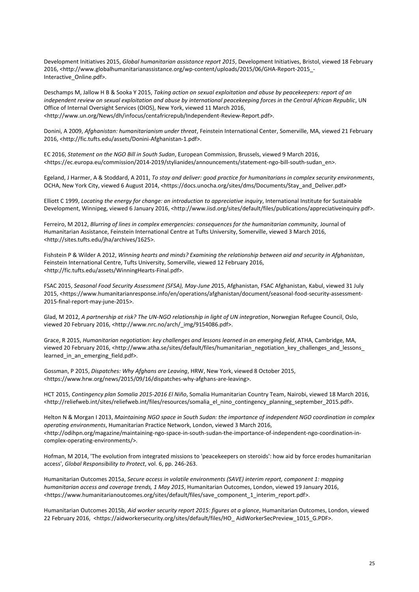Development Initiatives 2015, *Global humanitarian assistance report 2015*, Development Initiatives, Bristol, viewed 18 February 2016, <http://www.globalhumanitarianassistance.org/wp-content/uploads/2015/06/GHA-Report-2015\_- Interactive\_Online.pdf>.

Deschamps M, Jallow H B & Sooka Y 2015, *Taking action on sexual exploitation and abuse by peacekeepers: report of an independent review on sexual exploitation and abuse by international peacekeeping forces in the Central African Republic*, UN Office of Internal Oversight Services (OIOS), New York, viewed 11 March 2016, <http://www.un.org/News/dh/infocus/centafricrepub/Independent-Review-Report.pdf>.

Donini, A 2009, *Afghanistan: humanitarianism under threat*, Feinstein International Center, Somerville, MA, viewed 21 February 2016, <http://fic.tufts.edu/assets/Donini-Afghanistan-1.pdf>.

EC 2016, *Statement on the NGO Bill in South Sudan*, European Commission, Brussels, viewed 9 March 2016, <https://ec.europa.eu/commission/2014-2019/stylianides/announcements/statement-ngo-bill-south-sudan\_en>.

Egeland, J Harmer, A & Stoddard, A 2011, *To stay and deliver: good practice for humanitarians in complex security environments*, OCHA, New York City, viewed 6 August 2014, <https://docs.unocha.org/sites/dms/Documents/Stay\_and\_Deliver.pdf>

Elliott C 1999, *Locating the energy for change: an introduction to appreciative inquiry*, International Institute for Sustainable Development, Winnipeg, viewed 6 January 2016, <http://www.iisd.org/sites/default/files/publications/appreciativeinquiry.pdf>.

Ferreiro, M 2012, *Blurring of lines in complex emergencies: consequences for the humanitarian community*, Journal of Humanitarian Assistance, Feinstein International Centre at Tufts University, Somerville, viewed 3 March 2016, <http://sites.tufts.edu/jha/archives/1625>.

Fishstein P & Wilder A 2012, *Winning hearts and minds? Examining the relationship between aid and security in Afghanistan*, Feinstein International Centre, Tufts University, Somerville, viewed 12 February 2016, <http://fic.tufts.edu/assets/WinningHearts-Final.pdf>.

FSAC 2015, *Seasonal Food Security Assessment (SFSA), May-June 2*015, Afghanistan, FSAC Afghanistan, Kabul, viewed 31 July 2015, <https://www.humanitarianresponse.info/en/operations/afghanistan/document/seasonal-food-security-assessment-2015-final-report-may-june-2015>.

Glad, M 2012, *A partnership at risk? The UN-NGO relationship in light of UN integration*, Norwegian Refugee Council, Oslo, viewed 20 February 2016, <http://www.nrc.no/arch/\_img/9154086.pdf>.

Grace, R 2015, *Humanitarian negotiation: key challenges and lessons learned in an emerging field*, ATHA, Cambridge, MA, viewed 20 February 2016, <http://www.atha.se/sites/default/files/humanitarian\_negotiation\_key\_challenges\_and\_lessons learned in an emerging field.pdf>.

Gossman, P 2015, *Dispatches: Why Afghans are Leaving*, HRW, New York, viewed 8 October 2015, <https://www.hrw.org/news/2015/09/16/dispatches-why-afghans-are-leaving>.

HCT 2015, *Contingency plan Somalia 2015-2016 El Niño*, Somalia Humanitarian Country Team, Nairobi, viewed 18 March 2016, <http://reliefweb.int/sites/reliefweb.int/files/resources/somalia\_el\_nino\_contingency\_planning\_september\_2015.pdf>.

Helton N & Morgan I 2013, *Maintaining NGO space in South Sudan: the importance of independent NGO coordination in complex operating environments*, Humanitarian Practice Network, London, viewed 3 March 2016, <http://odihpn.org/magazine/maintaining-ngo-space-in-south-sudan-the-importance-of-independent-ngo-coordination-incomplex-operating-environments/>.

Hofman, M 2014, 'The evolution from integrated missions to 'peacekeepers on steroids': how aid by force erodes humanitarian access', *Global Responsibility to Protect*, vol. 6, pp. 246-263.

Humanitarian Outcomes 2015a, *Secure access in volatile environments (SAVE) interim report, component 1: mapping humanitarian access and coverage trends, 1 May 2015*, Humanitarian Outcomes, London, viewed 19 January 2016, <https://www.humanitarianoutcomes.org/sites/default/files/save\_component\_1\_interim\_report.pdf>.

Humanitarian Outcomes 2015b, *Aid worker security report 2015: figures at a glance*, Humanitarian Outcomes, London, viewed 22 February 2016, <https://aidworkersecurity.org/sites/default/files/HO\_ AidWorkerSecPreview\_1015\_G.PDF>.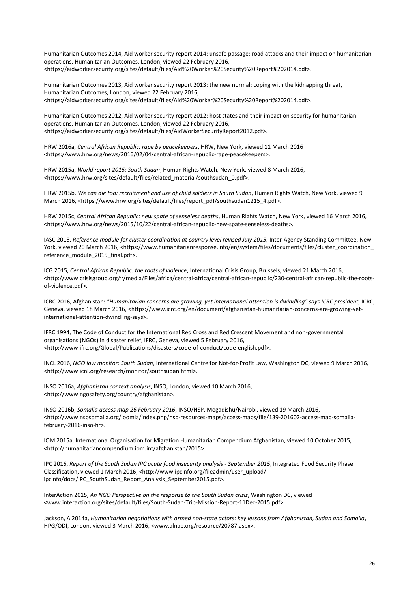Humanitarian Outcomes 2014, Aid worker security report 2014: unsafe passage: road attacks and their impact on humanitarian operations, Humanitarian Outcomes, London, viewed 22 February 2016, <https://aidworkersecurity.org/sites/default/files/Aid%20Worker%20Security%20Report%202014.pdf>.

Humanitarian Outcomes 2013, Aid worker security report 2013: the new normal: coping with the kidnapping threat, Humanitarian Outcomes, London, viewed 22 February 2016, <https://aidworkersecurity.org/sites/default/files/Aid%20Worker%20Security%20Report%202014.pdf>.

Humanitarian Outcomes 2012, Aid worker security report 2012: host states and their impact on security for humanitarian operations, Humanitarian Outcomes, London, viewed 22 February 2016, <https://aidworkersecurity.org/sites/default/files/AidWorkerSecurityReport2012.pdf>.

HRW 2016a, *Central African Republic: rape by peacekeepers*, HRW, New York, viewed 11 March 2016 <https://www.hrw.org/news/2016/02/04/central-african-republic-rape-peacekeepers>.

HRW 2015a, *World report 2015: South Sudan*, Human Rights Watch, New York, viewed 8 March 2016, <https://www.hrw.org/sites/default/files/related\_material/southsudan\_0.pdf>.

HRW 2015b, *We can die too: recruitment and use of child soldiers in South Sudan*, Human Rights Watch, New York, viewed 9 March 2016, <https://www.hrw.org/sites/default/files/report\_pdf/southsudan1215\_4.pdf>.

HRW 2015c, *Central African Republic: new spate of senseless deaths*, Human Rights Watch, New York, viewed 16 March 2016, <https://www.hrw.org/news/2015/10/22/central-african-republic-new-spate-senseless-deaths>.

IASC 2015, *Reference module for cluster coordination at country level revised July 2015*, Inter-Agency Standing Committee, New York, viewed 20 March 2016, <https://www.humanitarianresponse.info/en/system/files/documents/files/cluster\_coordination reference module 2015 final.pdf>.

ICG 2015, *Central African Republic: the roots of violence*, International Crisis Group, Brussels, viewed 21 March 2016, <http://www.crisisgroup.org/~/media/Files/africa/central-africa/central-african-republic/230-central-african-republic-the-rootsof-violence.pdf>.

ICRC 2016, Afghanistan: *"Humanitarian concerns are growing, yet international attention is dwindling" says ICRC president*, ICRC, Geneva, viewed 18 March 2016, <https://www.icrc.org/en/document/afghanistan-humanitarian-concerns-are-growing-yetinternational-attention-dwindling-says>.

IFRC 1994, The Code of Conduct for the International Red Cross and Red Crescent Movement and non-governmental organisations (NGOs) in disaster relief, IFRC, Geneva, viewed 5 February 2016, <http://www.ifrc.org/Global/Publications/disasters/code-of-conduct/code-english.pdf>.

INCL 2016, *NGO law monitor: South Sudan*, International Centre for Not-for-Profit Law, Washington DC, viewed 9 March 2016, <http://www.icnl.org/research/monitor/southsudan.html>.

INSO 2016a, *Afghanistan context analysis*, INSO, London, viewed 10 March 2016, <http://www.ngosafety.org/country/afghanistan>.

INSO 2016b, *Somalia access map 26 February 2016*, INSO/NSP, Mogadishu/Nairobi, viewed 19 March 2016, <http://www.nspsomalia.org/joomla/index.php/nsp-resources-maps/access-maps/file/139-201602-access-map-somaliafebruary-2016-inso-hr>.

IOM 2015a, International Organisation for Migration Humanitarian Compendium Afghanistan, viewed 10 October 2015, <http://humanitariancompendium.iom.int/afghanistan/2015>.

IPC 2016, *Report of the South Sudan IPC acute food insecurity analysis - September 2015*, Integrated Food Security Phase Classification, viewed 1 March 2016, <http://www.ipcinfo.org/fileadmin/user\_upload/ ipcinfo/docs/IPC SouthSudan Report Analysis September2015.pdf>.

InterAction 2015, *An NGO Perspective on the response to the South Sudan crisis*, Washington DC, viewed <www.interaction.org/sites/default/files/South-Sudan-Trip-Mission-Report-11Dec-2015.pdf>.

Jackson, A 2014a, *Humanitarian negotiations with armed non-state actors: key lessons from Afghanistan, Sudan and Somalia*, HPG/ODI, London, viewed 3 March 2016, <www.alnap.org/resource/20787.aspx>.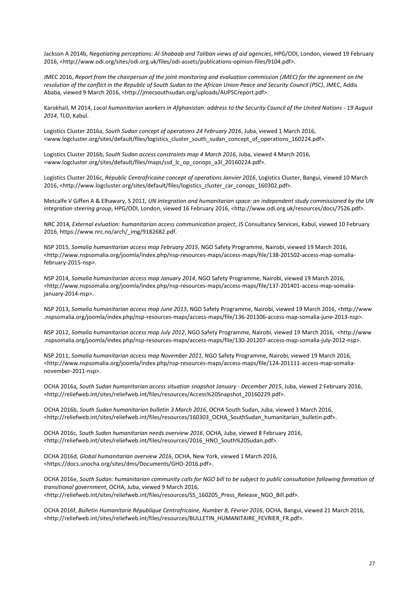Jackson A 2014b, *Negotiating perceptions: Al-Shabaab and Taliban views of aid agencies*, HPG/ODI, London, viewed 19 February 2016, <http://www.odi.org/sites/odi.org.uk/files/odi-assets/publications-opinion-files/9104.pdf>.

JMEC 2016, *Report from the chairperson of the joint monitoring and evaluation commission (JMEC) for the agreement on the resolution of the conflict in the Republic of South Sudan to the African Union Peace and Security Council (PSC)*, JMEC, Addis Ababa, viewed 9 March 2016, <http://jmecsouthsudan.org/uploads/AUPSCreport.pdf>.

Karokhail, M 2014, *Local humanitarian workers in Afghanistan: address to the Security Council of the United Nations - 19 August 2014*, TLO, Kabul.

Logistics Cluster 2016a, *South Sudan concept of operations 24 February 2016*, Juba, viewed 1 March 2016, <www.logcluster.org/sites/default/files/logistics\_cluster\_south\_sudan\_concept\_of\_operations\_160224.pdf>.

Logistics Cluster 2016b, *South Sudan access constraints map 4 March 2016*, Juba, viewed 4 March 2016, <www.logcluster.org/sites/default/files/maps/ssd\_lc\_op\_conops\_a3l\_20160224.pdf>.

Logistics Cluster 2016c, *Républic Centrafricaine concept of operations Janvier 2016*, Logistics Cluster, Bangui, viewed 10 March 2016, <http://www.logcluster.org/sites/default/files/logistics\_cluster\_car\_conops\_160302.pdf>.

Metcalfe V Giffen A & Elhawary, S 2011, *UN integration and humanitarian space: an independent study commissioned by the UN integration steering group*, HPG/ODI, London, viewed 16 February 2016, <http://www.odi.org.uk/resources/docs/7526.pdf>.

NRC 2014, *External evluation: humanitarian access communication project*, JS Consultancy Services, Kabul, viewed 10 February 2016, https://www.nrc.no/arch/\_img/9182682.pdf.

NSP 2015, *Somalia humanitarian access map February 2015*, NGO Safety Programme, Nairobi, viewed 19 March 2016, <http://www.nspsomalia.org/joomla/index.php/nsp-resources-maps/access-maps/file/138-201502-access-map-somaliafebruary-2015-nsp>.

NSP 2014, *Somalia humanitarian access map January 2014*, NGO Safety Programme, Nairobi, viewed 19 March 2016, <http://www.nspsomalia.org/joomla/index.php/nsp-resources-maps/access-maps/file/137-201401-access-map-somaliajanuary-2014-nsp>.

NSP 2013, *Somalia humanitarian access map June 2013*, NGO Safety Programme, Nairobi, viewed 19 March 2016, <http://www .nspsomalia.org/joomla/index.php/nsp-resources-maps/access-maps/file/136-201306-access-map-somalia-june-2013-nsp>.

NSP 2012, *Somalia humanitarian access map July 2012*, NGO Safety Programme, Nairobi, viewed 19 March 2016, <http://www .nspsomalia.org/joomla/index.php/nsp-resources-maps/access-maps/file/130-201207-access-map-somalia-july-2012-nsp>.

NSP 2011, *Somalia humanitarian access map November 2011*, NGO Safety Programme, Nairobi, viewed 19 March 2016, <http://www.nspsomalia.org/joomla/index.php/nsp-resources-maps/access-maps/file/124-201111-access-map-somalianovember-2011-nsp>.

OCHA 2016a, *South Sudan humanitarian access situation snapshot January - December 2015*, Juba, viewed 2 February 2016, <http://reliefweb.int/sites/reliefweb.int/files/resources/Access%20Snapshot\_20160229.pdf>.

OCHA 2016b, *South Sudan humanitarian bulletin 3 March 2016*, OCHA South Sudan, Juba, viewed 3 March 2016, <http://reliefweb.int/sites/reliefweb.int/files/resources/160303\_OCHA\_SouthSudan\_humanitarian\_bulletin.pdf>.

OCHA 2016c, *South Sudan humanitarian needs overview 2016*, OCHA, Juba, viewed 8 February 2016, <http://reliefweb.int/sites/reliefweb.int/files/resources/2016\_HNO\_South%20Sudan.pdf>.

OCHA 2016d, *Global humanitarian overview 2016*, OCHA, New York, viewed 1 March 2016, <https://docs.unocha.org/sites/dms/Documents/GHO-2016.pdf>.

OCHA 2016e, *South Sudan: humanitarian community calls for NGO bill to be subject to public consultation following formation of transitional government*, OCHA, Juba, viewed 9 March 2016, <http://reliefweb.int/sites/reliefweb.int/files/resources/SS\_160205\_Press\_Release\_NGO\_Bill.pdf>.

OCHA 2016f, *Bulletin Humanitarie République Centrafricaine, Number 8, Février 2016*, OCHA, Bangui, viewed 21 March 2016, <http://reliefweb.int/sites/reliefweb.int/files/resources/BULLETIN\_HUMANITAIRE\_FEVRIER\_FR.pdf>.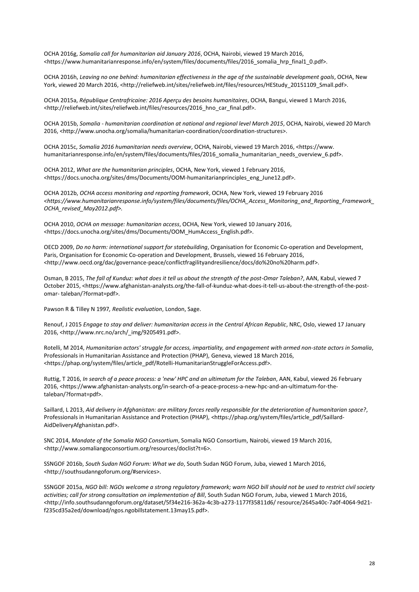OCHA 2016g, *Somalia call for humanitarian aid January 2016*, OCHA, Nairobi, viewed 19 March 2016, <https://www.humanitarianresponse.info/en/system/files/documents/files/2016\_somalia\_hrp\_final1\_0.pdf>.

OCHA 2016h, *Leaving no one behind: humanitarian effectiveness in the age of the sustainable development goals*, OCHA, New York, viewed 20 March 2016, <http://reliefweb.int/sites/reliefweb.int/files/resources/HEStudy\_20151109\_Small.pdf>.

OCHA 2015a, *République Centrafricaine: 2016 Aperçu des besoins humanitaires*, OCHA, Bangui, viewed 1 March 2016, <http://reliefweb.int/sites/reliefweb.int/files/resources/2016\_hno\_car\_final.pdf>.

OCHA 2015b, *Somalia - humanitarian coordination at national and regional level March 2015*, OCHA, Nairobi, viewed 20 March 2016, <http://www.unocha.org/somalia/humanitarian-coordination/coordination-structures>.

OCHA 2015c, *Somalia 2016 humanitarian needs overview*, OCHA, Nairobi, viewed 19 March 2016, <https://www. humanitarianresponse.info/en/system/files/documents/files/2016\_somalia\_humanitarian\_needs\_overview\_6.pdf>.

OCHA 2012, *What are the humanitarian principles*, OCHA, New York, viewed 1 February 2016, <https://docs.unocha.org/sites/dms/Documents/OOM-humanitarianprinciples\_eng\_June12.pdf>.

OCHA 2012b, *OCHA access monitoring and reporting framework*, OCHA, New York, viewed 19 February 2016 *<https://www.humanitarianresponse.info/system/files/documents/files/OCHA\_Access\_Monitoring\_and\_Reporting\_Framework\_ OCHA\_revised\_May2012.pdf>.*

OCHA 2010, *OCHA on message: humanitarian access*, OCHA, New York, viewed 10 January 2016, <https://docs.unocha.org/sites/dms/Documents/OOM\_HumAccess\_English.pdf>.

OECD 2009, *Do no harm: international support for statebuilding*, Organisation for Economic Co-operation and Development, Paris, Organisation for Economic Co-operation and Development, Brussels, viewed 16 February 2016, <http://www.oecd.org/dac/governance-peace/conflictfragilityandresilience/docs/do%20no%20harm.pdf>.

Osman, B 2015, *The fall of Kunduz: what does it tell us about the strength of the post-Omar Taleban?*, AAN, Kabul, viewed 7 October 2015, <https://www.afghanistan-analysts.org/the-fall-of-kunduz-what-does-it-tell-us-about-the-strength-of-the-postomar- taleban/?format=pdf>.

Pawson R & Tilley N 1997*, Realistic evaluation*, London, Sage.

Renouf, J 2015 *Engage to stay and deliver: humanitarian access in the Central African Republic*, NRC, Oslo, viewed 17 January 2016, <http://www.nrc.no/arch/\_img/9205491.pdf>.

Rotelli, M 2014, *Humanitarian actors' struggle for access, impartiality, and engagement with armed non-state actors in Somalia*, Professionals in Humanitarian Assistance and Protection (PHAP), Geneva, viewed 18 March 2016, <https://phap.org/system/files/article\_pdf/Rotelli-HumanitarianStruggleForAccess.pdf>.

Ruttig, T 2016, *In search of a peace process: a 'new' HPC and an ultimatum for the Taleban*, AAN, Kabul, viewed 26 February 2016, <https://www.afghanistan-analysts.org/in-search-of-a-peace-process-a-new-hpc-and-an-ultimatum-for-thetaleban/?format=pdf>.

Saillard, L 2013, *Aid delivery in Afghanistan: are military forces really responsible for the deterioration of humanitarian space?*, Professionals in Humanitarian Assistance and Protection (PHAP), <https://phap.org/system/files/article\_pdf/Saillard-AidDeliveryAfghanistan.pdf>.

SNC 2014, *Mandate of the Somalia NGO Consortium*, Somalia NGO Consortium, Nairobi, viewed 19 March 2016, <http://www.somaliangoconsortium.org/resources/doclist?t=6>.

SSNGOF 2016b, *South Sudan NGO Forum: What we do*, South Sudan NGO Forum, Juba, viewed 1 March 2016, <http://southsudanngoforum.org/#services>.

SSNGOF 2015a, *NGO bill: NGOs welcome a strong regulatory framework; warn NGO bill should not be used to restrict civil society activities; call for strong consultation on implementation of Bill*, South Sudan NGO Forum, Juba, viewed 1 March 2016, <http://info.southsudanngoforum.org/dataset/5f34e216-362a-4c3b-a273-1177f35811d6/ resource/2645a40c-7a0f-4064-9d21 f235cd35a2ed/download/ngos.ngobillstatement.13may15.pdf>.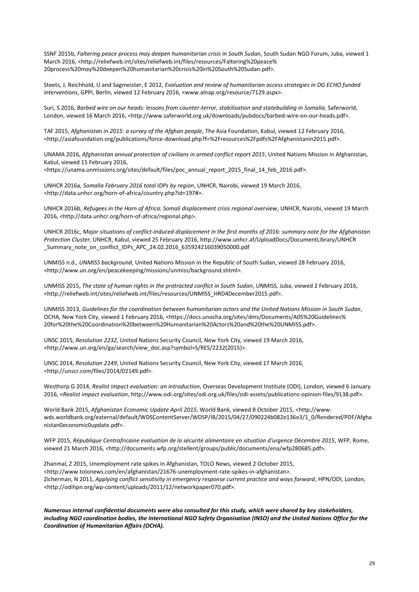SSNF 2015b, *Faltering peace process may deepen humanitarian crisis in South Sudan*, South Sudan NGO Forum, Juba, viewed 1 March 2016, <http://reliefweb.int/sites/reliefweb.int/files/resources/Faltering%20peace% 20process%20may%20deepen%20humanitarian%20crisis%20in%20South%20Sudan.pdf>.

Steets, J, Reichhold, U and Sagmeister, E 2012, *Evaluation and review of humanitarian access strategies in DG ECHO funded interventions*, GPPI, Berlin, viewed 12 February 2016, <www.alnap.org/resource/7129.aspx>.

Suri, S 2016, Barbed wire on our heads: lessons from counter-terror, stabilisation and statebuilding in Somalia, Saferworld, London, viewed 16 March 2016, <http://www.saferworld.org.uk/downloads/pubdocs/barbed-wire-on-our-heads.pdf>.

TAF 2015, *Afghanistan in 2015: a survey of the Afghan people*, The Asia Foundation, Kabul, viewed 12 February 2016, <http://asiafoundation.org/publications/force-download.php?f=%2Fresources%2Fpdfs%2FAfghanistanin2015.pdf>.

UNAMA 2016, *Afghanistan annual protection of civilians in armed conflict report 2015*, United Nations Mission in Afghanistan, Kabul, viewed 15 February 2016,

<https://unama.unmissions.org/sites/default/files/poc\_annual\_report\_2015\_final\_14\_feb\_2016.pdf>.

UNHCR 2016a, *Somalia February 2016 total IDPs by region*, UNHCR, Nairobi, viewed 19 March 2016, <http://data.unhcr.org/horn-of-africa/country.php?id=197#>.

UNHCR 2016b, *Refugees in the Horn of Africa: Somali displacement crisis regional overview*, UNHCR, Nairobi, viewed 19 March 2016, <http://data.unhcr.org/horn-of-africa/regional.php>.

UNHCR 2016c, *Major situations of conflict-induced displacement in the first months of 2016: summary note for the Afghanistan Protection Cluster*, UNHCR, Kabul, viewed 25 February 2016, http://www.unhcr.af/UploadDocs/DocumentLibrary/UNHCR \_Summary\_note\_on\_conflict\_IDPs\_APC\_24.02.2016\_635924216039050000.pdf

UNMISS n.d., *UNMISS background*, United Nations Mission in the Republic of South Sudan, viewed 28 February 2016, <http://www.un.org/en/peacekeeping/missions/unmiss/background.shtml>.

UNMISS 2015, *The state of human rights in the protracted conflict in South Sudan*, UNMISS, Juba, viewed 2 February 2016, <http://reliefweb.int/sites/reliefweb.int/files/resources/UNMISS\_HRD4December2015.pdf>.

UNMISS 2013, *Guidelines for the coordination between humanitarian actors and the United Nations Mission in South Sudan*, OCHA, New York City, viewed 1 February 2016, <https://docs.unocha.org/sites/dms/Documents/A05%20Guidelines% 20for%20the%20Coordination%20between%20Humanitarian%20Actors%20and%20the%20UNMISS.pdf>.

UNSC 2015, *Resolution 2232*, United Nations Security Council, New York City, viewed 19 March 2016, <http://www.un.org/en/ga/search/view\_doc.asp?symbol=S/RES/2232(2015)>.

UNSC 2014, *Resolution 2149*, United Nations Security Council, New York City, viewed 17 March 2016, <http://unscr.com/files/2014/02149.pdf>.

Westhorp G 2014, *Realist impact evaluation: an introduction*, Overseas Development Institute (ODI), London, viewed 6 January 2016, <*Realist impact evaluation*, http://www.odi.org/sites/odi.org.uk/files/odi-assets/publications-opinion-files/9138.pdf>.

World Bank 2015, *Afghanistan Economic Update April 2015*, World Bank, viewed 8 October 2015, <http://wwwwds.worldbank.org/external/default/WDSContentServer/WDSP/IB/2015/04/27/090224b082e136e3/1\_0/Rendered/PDF/Afgha nistan0economic0update.pdf>.

WFP 2015, *République Centrafricaine evaluation de la sécurité alimentaire en situation d'urgence Décembre 2015*, WFP, Rome, viewed 21 March 2016, <http://documents.wfp.org/stellent/groups/public/documents/ena/wfp280685.pdf>.

Zhanmal, Z 2015, Unemployment rate spikes in Afghanistan, TOLO News, viewed 2 October 2015, <http://www.tolonews.com/en/afghanistan/21676-unemployment-rate-spikes-in-afghanistan>. Zicherman, N 2011, *Applying conflict sensitivity in emergency response current practice and ways forward*, HPN/ODI, London, <http://odihpn.org/wp-content/uploads/2011/12/networkpaper070.pdf>.

*Numerous internal confidential documents were also consulted for this study, which were shared by key stakeholders, including NGO coordination bodies, the International NGO Safety Organisation (INSO) and the United Nations Office for the Coordination of Humanitarian Affairs (OCHA).*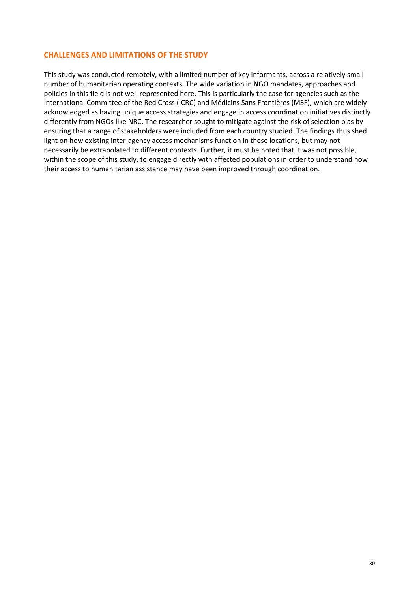#### **CHALLENGES AND LIMITATIONS OF THE STUDY**

This study was conducted remotely, with a limited number of key informants, across a relatively small number of humanitarian operating contexts. The wide variation in NGO mandates, approaches and policies in this field is not well represented here. This is particularly the case for agencies such as the International Committee of the Red Cross (ICRC) and Médicins Sans Frontières (MSF), which are widely acknowledged as having unique access strategies and engage in access coordination initiatives distinctly differently from NGOs like NRC. The researcher sought to mitigate against the risk of selection bias by ensuring that a range of stakeholders were included from each country studied. The findings thus shed light on how existing inter-agency access mechanisms function in these locations, but may not necessarily be extrapolated to different contexts. Further, it must be noted that it was not possible, within the scope of this study, to engage directly with affected populations in order to understand how their access to humanitarian assistance may have been improved through coordination.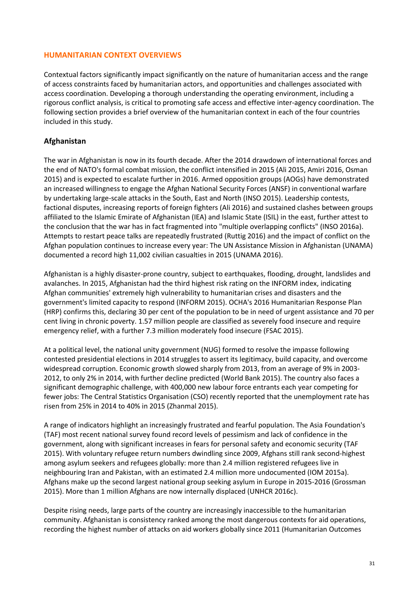#### **HUMANITARIAN CONTEXT OVERVIEWS**

Contextual factors significantly impact significantly on the nature of humanitarian access and the range of access constraints faced by humanitarian actors, and opportunities and challenges associated with access coordination. Developing a thorough understanding the operating environment, including a rigorous conflict analysis, is critical to promoting safe access and effective inter-agency coordination. The following section provides a brief overview of the humanitarian context in each of the four countries included in this study.

## **Afghanistan**

The war in Afghanistan is now in its fourth decade. After the 2014 drawdown of international forces and the end of NATO's formal combat mission, the conflict intensified in 2015 (Ali 2015, Amiri 2016, Osman 2015) and is expected to escalate further in 2016. Armed opposition groups (AOGs) have demonstrated an increased willingness to engage the Afghan National Security Forces (ANSF) in conventional warfare by undertaking large-scale attacks in the South, East and North (INSO 2015). Leadership contests, factional disputes, increasing reports of foreign fighters (Ali 2016) and sustained clashes between groups affiliated to the Islamic Emirate of Afghanistan (IEA) and Islamic State (ISIL) in the east, further attest to the conclusion that the war has in fact fragmented into "multiple overlapping conflicts" (INSO 2016a). Attempts to restart peace talks are repeatedly frustrated (Ruttig 2016) and the impact of conflict on the Afghan population continues to increase every year: The UN Assistance Mission in Afghanistan (UNAMA) documented a record high 11,002 civilian casualties in 2015 (UNAMA 2016).

Afghanistan is a highly disaster-prone country, subject to earthquakes, flooding, drought, landslides and avalanches. In 2015, Afghanistan had the third highest risk rating on the INFORM index, indicating Afghan communities' extremely high vulnerability to humanitarian crises and disasters and the government's limited capacity to respond (INFORM 2015). OCHA's 2016 Humanitarian Response Plan (HRP) confirms this, declaring 30 per cent of the population to be in need of urgent assistance and 70 per cent living in chronic poverty. 1.57 million people are classified as severely food insecure and require emergency relief, with a further 7.3 million moderately food insecure (FSAC 2015).

At a political level, the national unity government (NUG) formed to resolve the impasse following contested presidential elections in 2014 struggles to assert its legitimacy, build capacity, and overcome widespread corruption. Economic growth slowed sharply from 2013, from an average of 9% in 2003- 2012, to only 2% in 2014, with further decline predicted (World Bank 2015). The country also faces a significant demographic challenge, with 400,000 new labour force entrants each year competing for fewer jobs: The Central Statistics Organisation (CSO) recently reported that the unemployment rate has risen from 25% in 2014 to 40% in 2015 (Zhanmal 2015).

A range of indicators highlight an increasingly frustrated and fearful population. The Asia Foundation's (TAF) most recent national survey found record levels of pessimism and lack of confidence in the government, along with significant increases in fears for personal safety and economic security (TAF 2015). With voluntary refugee return numbers dwindling since 2009, Afghans still rank second-highest among asylum seekers and refugees globally: more than 2.4 million registered refugees live in neighbouring Iran and Pakistan, with an estimated 2.4 million more undocumented (IOM 2015a). Afghans make up the second largest national group seeking asylum in Europe in 2015-2016 (Grossman 2015). More than 1 million Afghans are now internally displaced (UNHCR 2016c).

Despite rising needs, large parts of the country are increasingly inaccessible to the humanitarian community. Afghanistan is consistency ranked among the most dangerous contexts for aid operations, recording the highest number of attacks on aid workers globally since 2011 (Humanitarian Outcomes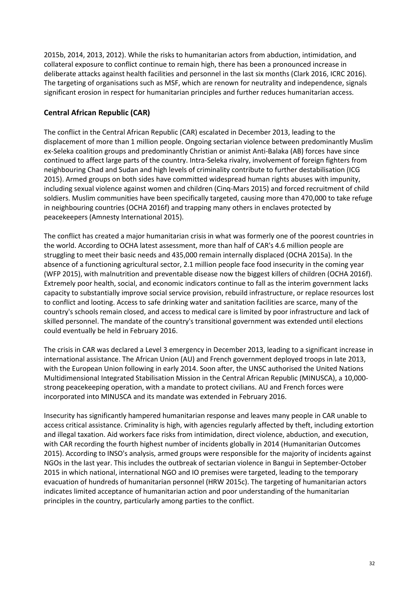2015b, 2014, 2013, 2012). While the risks to humanitarian actors from abduction, intimidation, and collateral exposure to conflict continue to remain high, there has been a pronounced increase in deliberate attacks against health facilities and personnel in the last six months (Clark 2016, ICRC 2016). The targeting of organisations such as MSF, which are renown for neutrality and independence, signals significant erosion in respect for humanitarian principles and further reduces humanitarian access.

# **Central African Republic (CAR)**

The conflict in the Central African Republic (CAR) escalated in December 2013, leading to the displacement of more than 1 million people. Ongoing sectarian violence between predominantly Muslim ex-Seleka coalition groups and predominantly Christian or animist Anti-Balaka (AB) forces have since continued to affect large parts of the country. Intra-Seleka rivalry, involvement of foreign fighters from neighbouring Chad and Sudan and high levels of criminality contribute to further destabilisation (ICG 2015). Armed groups on both sides have committed widespread human rights abuses with impunity, including sexual violence against women and children (Cinq-Mars 2015) and forced recruitment of child soldiers. Muslim communities have been specifically targeted, causing more than 470,000 to take refuge in neighbouring countries (OCHA 2016f) and trapping many others in enclaves protected by peacekeepers (Amnesty International 2015).

The conflict has created a major humanitarian crisis in what was formerly one of the poorest countries in the world. According to OCHA latest assessment, more than half of CAR's 4.6 million people are struggling to meet their basic needs and 435,000 remain internally displaced (OCHA 2015a). In the absence of a functioning agricultural sector, 2.1 million people face food insecurity in the coming year (WFP 2015), with malnutrition and preventable disease now the biggest killers of children (OCHA 2016f). Extremely poor health, social, and economic indicators continue to fall as the interim government lacks capacity to substantially improve social service provision, rebuild infrastructure, or replace resources lost to conflict and looting. Access to safe drinking water and sanitation facilities are scarce, many of the country's schools remain closed, and access to medical care is limited by poor infrastructure and lack of skilled personnel. The mandate of the country's transitional government was extended until elections could eventually be held in February 2016.

The crisis in CAR was declared a Level 3 emergency in December 2013, leading to a significant increase in international assistance. The African Union (AU) and French government deployed troops in late 2013, with the European Union following in early 2014. Soon after, the UNSC authorised the United Nations Multidimensional Integrated Stabilisation Mission in the Central African Republic (MINUSCA), a 10,000 strong peacekeeping operation, with a mandate to protect civilians. AU and French forces were incorporated into MINUSCA and its mandate was extended in February 2016.

Insecurity has significantly hampered humanitarian response and leaves many people in CAR unable to access critical assistance. Criminality is high, with agencies regularly affected by theft, including extortion and illegal taxation. Aid workers face risks from intimidation, direct violence, abduction, and execution, with CAR recording the fourth highest number of incidents globally in 2014 (Humanitarian Outcomes 2015). According to INSO's analysis, armed groups were responsible for the majority of incidents against NGOs in the last year. This includes the outbreak of sectarian violence in Bangui in September-October 2015 in which national, international NGO and IO premises were targeted, leading to the temporary evacuation of hundreds of humanitarian personnel (HRW 2015c). The targeting of humanitarian actors indicates limited acceptance of humanitarian action and poor understanding of the humanitarian principles in the country, particularly among parties to the conflict.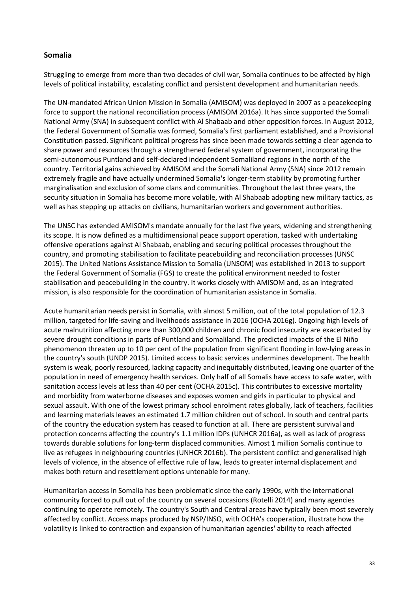## **Somalia**

Struggling to emerge from more than two decades of civil war, Somalia continues to be affected by high levels of political instability, escalating conflict and persistent development and humanitarian needs.

The UN-mandated African Union Mission in Somalia (AMISOM) was deployed in 2007 as a peacekeeping force to support the national reconciliation process (AMISOM 2016a). It has since supported the Somali National Army (SNA) in subsequent conflict with Al Shabaab and other opposition forces. In August 2012, the Federal Government of Somalia was formed, Somalia's first parliament established, and a Provisional Constitution passed. Significant political progress has since been made towards setting a clear agenda to share power and resources through a strengthened federal system of government, incorporating the semi-autonomous Puntland and self-declared independent Somaliland regions in the north of the country. Territorial gains achieved by AMISOM and the Somali National Army (SNA) since 2012 remain extremely fragile and have actually undermined Somalia's longer-term stability by promoting further marginalisation and exclusion of some clans and communities. Throughout the last three years, the security situation in Somalia has become more volatile, with Al Shabaab adopting new military tactics, as well as has stepping up attacks on civilians, humanitarian workers and government authorities.

The UNSC has extended AMISOM's mandate annually for the last five years, widening and strengthening its scope. It is now defined as a multidimensional peace support operation, tasked with undertaking offensive operations against Al Shabaab, enabling and securing political processes throughout the country, and promoting stabilisation to facilitate peacebuilding and reconciliation processes (UNSC 2015). The United Nations Assistance Mission to Somalia (UNSOM) was established in 2013 to support the Federal Government of Somalia (FGS) to create the political environment needed to foster stabilisation and peacebuilding in the country. It works closely with AMISOM and, as an integrated mission, is also responsible for the coordination of humanitarian assistance in Somalia.

Acute humanitarian needs persist in Somalia, with almost 5 million, out of the total population of 12.3 million, targeted for life-saving and livelihoods assistance in 2016 (OCHA 2016g). Ongoing high levels of acute malnutrition affecting more than 300,000 children and chronic food insecurity are exacerbated by severe drought conditions in parts of Puntland and Somaliland. The predicted impacts of the El Niño phenomenon threaten up to 10 per cent of the population from significant flooding in low-lying areas in the country's south (UNDP 2015). Limited access to basic services undermines development. The health system is weak, poorly resourced, lacking capacity and inequitably distributed, leaving one quarter of the population in need of emergency health services. Only half of all Somalis have access to safe water, with sanitation access levels at less than 40 per cent (OCHA 2015c). This contributes to excessive mortality and morbidity from waterborne diseases and exposes women and girls in particular to physical and sexual assault. With one of the lowest primary school enrolment rates globally, lack of teachers, facilities and learning materials leaves an estimated 1.7 million children out of school. In south and central parts of the country the education system has ceased to function at all. There are persistent survival and protection concerns affecting the country's 1.1 million IDPs (UNHCR 2016a), as well as lack of progress towards durable solutions for long-term displaced communities. Almost 1 million Somalis continue to live as refugees in neighbouring countries (UNHCR 2016b). The persistent conflict and generalised high levels of violence, in the absence of effective rule of law, leads to greater internal displacement and makes both return and resettlement options untenable for many.

Humanitarian access in Somalia has been problematic since the early 1990s, with the international community forced to pull out of the country on several occasions (Rotelli 2014) and many agencies continuing to operate remotely. The country's South and Central areas have typically been most severely affected by conflict. Access maps produced by NSP/INSO, with OCHA's cooperation, illustrate how the volatility is linked to contraction and expansion of humanitarian agencies' ability to reach affected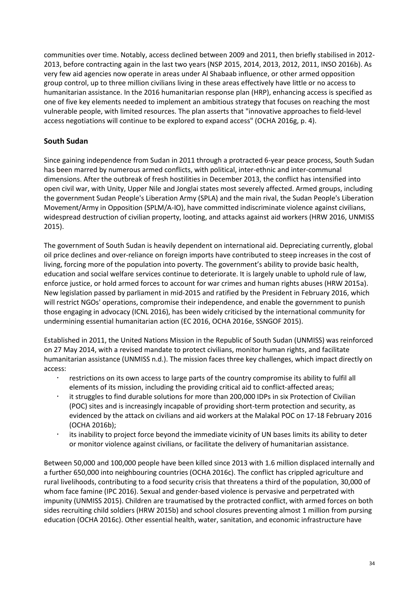communities over time. Notably, access declined between 2009 and 2011, then briefly stabilised in 2012- 2013, before contracting again in the last two years (NSP 2015, 2014, 2013, 2012, 2011, INSO 2016b). As very few aid agencies now operate in areas under Al Shabaab influence, or other armed opposition group control, up to three million civilians living in these areas effectively have little or no access to humanitarian assistance. In the 2016 humanitarian response plan (HRP), enhancing access is specified as one of five key elements needed to implement an ambitious strategy that focuses on reaching the most vulnerable people, with limited resources. The plan asserts that "innovative approaches to field-level access negotiations will continue to be explored to expand access" (OCHA 2016g, p. 4).

# **South Sudan**

Since gaining independence from Sudan in 2011 through a protracted 6-year peace process, South Sudan has been marred by numerous armed conflicts, with political, inter-ethnic and inter-communal dimensions. After the outbreak of fresh hostilities in December 2013, the conflict has intensified into open civil war, with Unity, Upper Nile and Jonglai states most severely affected. Armed groups, including the government Sudan People's Liberation Army (SPLA) and the main rival, the Sudan People's Liberation Movement/Army in Opposition (SPLM/A-IO), have committed indiscriminate violence against civilians, widespread destruction of civilian property, looting, and attacks against aid workers (HRW 2016, UNMISS 2015).

The government of South Sudan is heavily dependent on international aid. Depreciating currently, global oil price declines and over-reliance on foreign imports have contributed to steep increases in the cost of living, forcing more of the population into poverty. The government's ability to provide basic health, education and social welfare services continue to deteriorate. It is largely unable to uphold rule of law, enforce justice, or hold armed forces to account for war crimes and human rights abuses (HRW 2015a). New legislation passed by parliament in mid-2015 and ratified by the President in February 2016, which will restrict NGOs' operations, compromise their independence, and enable the government to punish those engaging in advocacy (ICNL 2016), has been widely criticised by the international community for undermining essential humanitarian action (EC 2016, OCHA 2016e, SSNGOF 2015).

Established in 2011, the United Nations Mission in the Republic of South Sudan (UNMISS) was reinforced on 27 May 2014, with a revised mandate to protect civilians, monitor human rights, and facilitate humanitarian assistance (UNMISS n.d.). The mission faces three key challenges, which impact directly on access:

- restrictions on its own access to large parts of the country compromise its ability to fulfil all elements of its mission, including the providing critical aid to conflict-affected areas;
- it struggles to find durable solutions for more than 200,000 IDPs in six Protection of Civilian (POC) sites and is increasingly incapable of providing short-term protection and security, as evidenced by the attack on civilians and aid workers at the Malakal POC on 17-18 February 2016 (OCHA 2016b);
- its inability to project force beyond the immediate vicinity of UN bases limits its ability to deter or monitor violence against civilians, or facilitate the delivery of humanitarian assistance.

Between 50,000 and 100,000 people have been killed since 2013 with 1.6 million displaced internally and a further 650,000 into neighbouring countries (OCHA 2016c). The conflict has crippled agriculture and rural livelihoods, contributing to a food security crisis that threatens a third of the population, 30,000 of whom face famine (IPC 2016). Sexual and gender-based violence is pervasive and perpetrated with impunity (UNMISS 2015). Children are traumatised by the protracted conflict, with armed forces on both sides recruiting child soldiers (HRW 2015b) and school closures preventing almost 1 million from pursing education (OCHA 2016c). Other essential health, water, sanitation, and economic infrastructure have